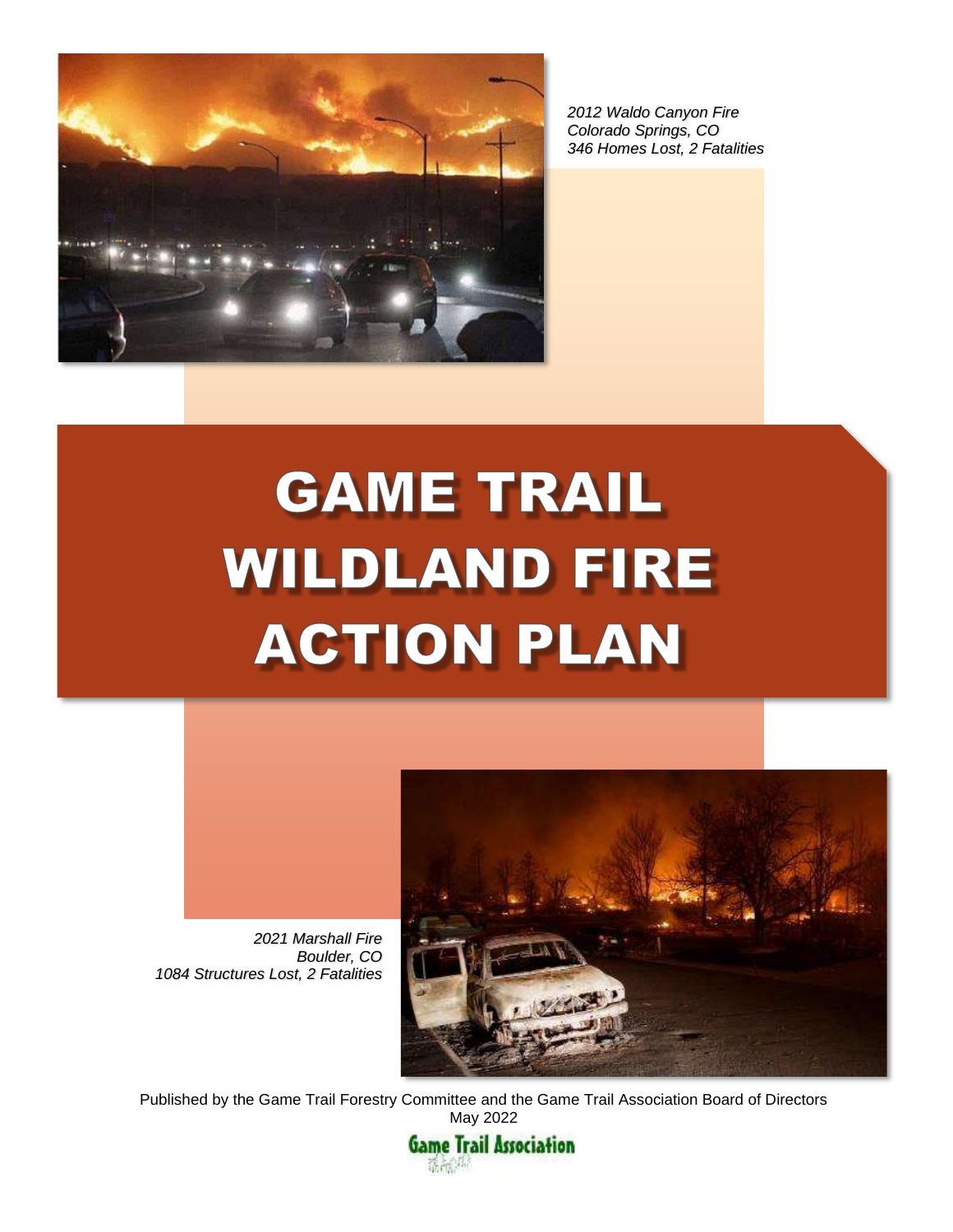

*2012 Waldo Canyon Fire Colorado Springs, CO 346 Homes Lost, 2 Fatalities*

# **GAME TRAIL WILDLAND FIRE ACTION PLAN**



*Boulder, CO 1084 Structures Lost, 2 Fatalities*



Published by the Game Trail Forestry Committee and the Game Trail Association Board of Directors May 2022

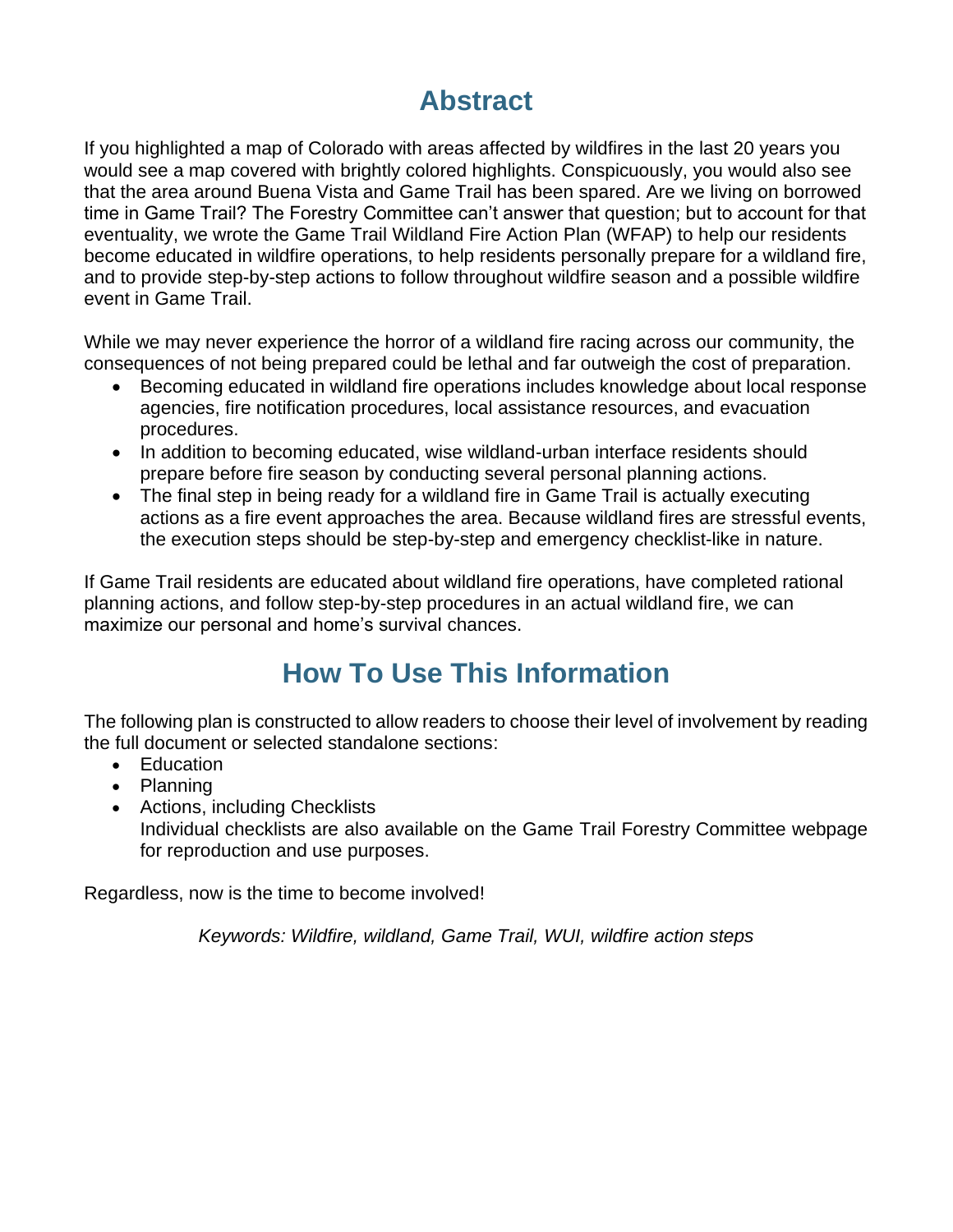### **Abstract**

If you highlighted a map of Colorado with areas affected by wildfires in the last 20 years you would see a map covered with brightly colored highlights. Conspicuously, you would also see that the area around Buena Vista and Game Trail has been spared. Are we living on borrowed time in Game Trail? The Forestry Committee can't answer that question; but to account for that eventuality, we wrote the Game Trail Wildland Fire Action Plan (WFAP) to help our residents become educated in wildfire operations, to help residents personally prepare for a wildland fire, and to provide step-by-step actions to follow throughout wildfire season and a possible wildfire event in Game Trail.

While we may never experience the horror of a wildland fire racing across our community, the consequences of not being prepared could be lethal and far outweigh the cost of preparation.

- Becoming educated in wildland fire operations includes knowledge about local response agencies, fire notification procedures, local assistance resources, and evacuation procedures.
- In addition to becoming educated, wise wildland-urban interface residents should prepare before fire season by conducting several personal planning actions.
- The final step in being ready for a wildland fire in Game Trail is actually executing actions as a fire event approaches the area. Because wildland fires are stressful events, the execution steps should be step-by-step and emergency checklist-like in nature.

If Game Trail residents are educated about wildland fire operations, have completed rational planning actions, and follow step-by-step procedures in an actual wildland fire, we can maximize our personal and home's survival chances.

### **How To Use This Information**

The following plan is constructed to allow readers to choose their level of involvement by reading the full document or selected standalone sections:

- Education
- Planning
- Actions, including Checklists Individual checklists are also available on the Game Trail Forestry Committee webpage for reproduction and use purposes.

Regardless, now is the time to become involved!

*Keywords: Wildfire, wildland, Game Trail, WUI, wildfire action steps*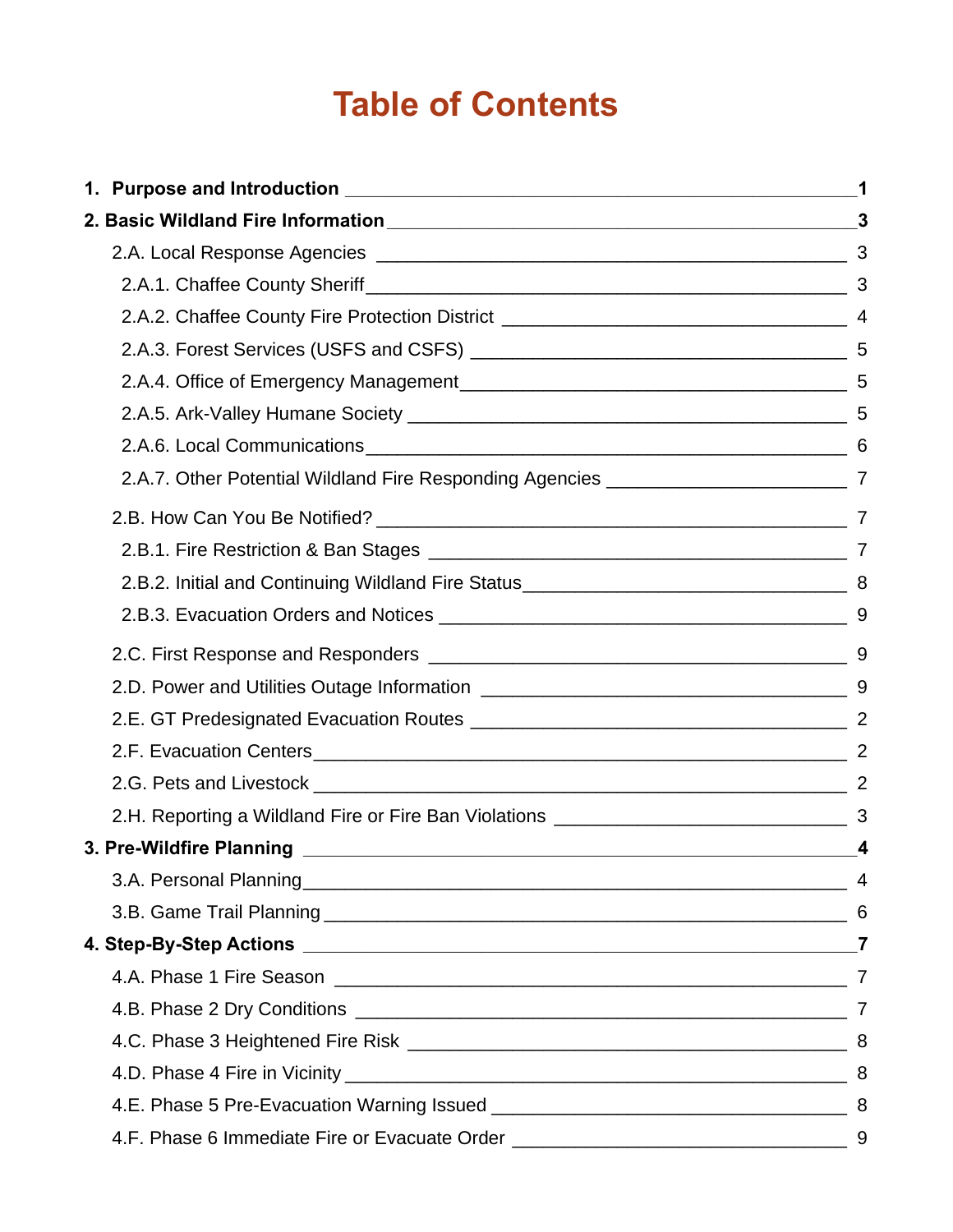# **Table of Contents**

|                                                                                             | $\boldsymbol{3}$ |
|---------------------------------------------------------------------------------------------|------------------|
|                                                                                             |                  |
|                                                                                             |                  |
|                                                                                             |                  |
|                                                                                             |                  |
|                                                                                             | 5                |
|                                                                                             |                  |
|                                                                                             |                  |
| 2.A.7. Other Potential Wildland Fire Responding Agencies _________________________________7 |                  |
|                                                                                             |                  |
|                                                                                             |                  |
|                                                                                             |                  |
|                                                                                             |                  |
|                                                                                             |                  |
|                                                                                             |                  |
|                                                                                             |                  |
|                                                                                             |                  |
|                                                                                             |                  |
|                                                                                             |                  |
|                                                                                             | 4                |
|                                                                                             |                  |
|                                                                                             | 6                |
|                                                                                             |                  |
|                                                                                             |                  |
|                                                                                             |                  |
|                                                                                             |                  |
|                                                                                             |                  |
|                                                                                             |                  |
| 4.F. Phase 6 Immediate Fire or Evacuate Order __________________________________            | 9                |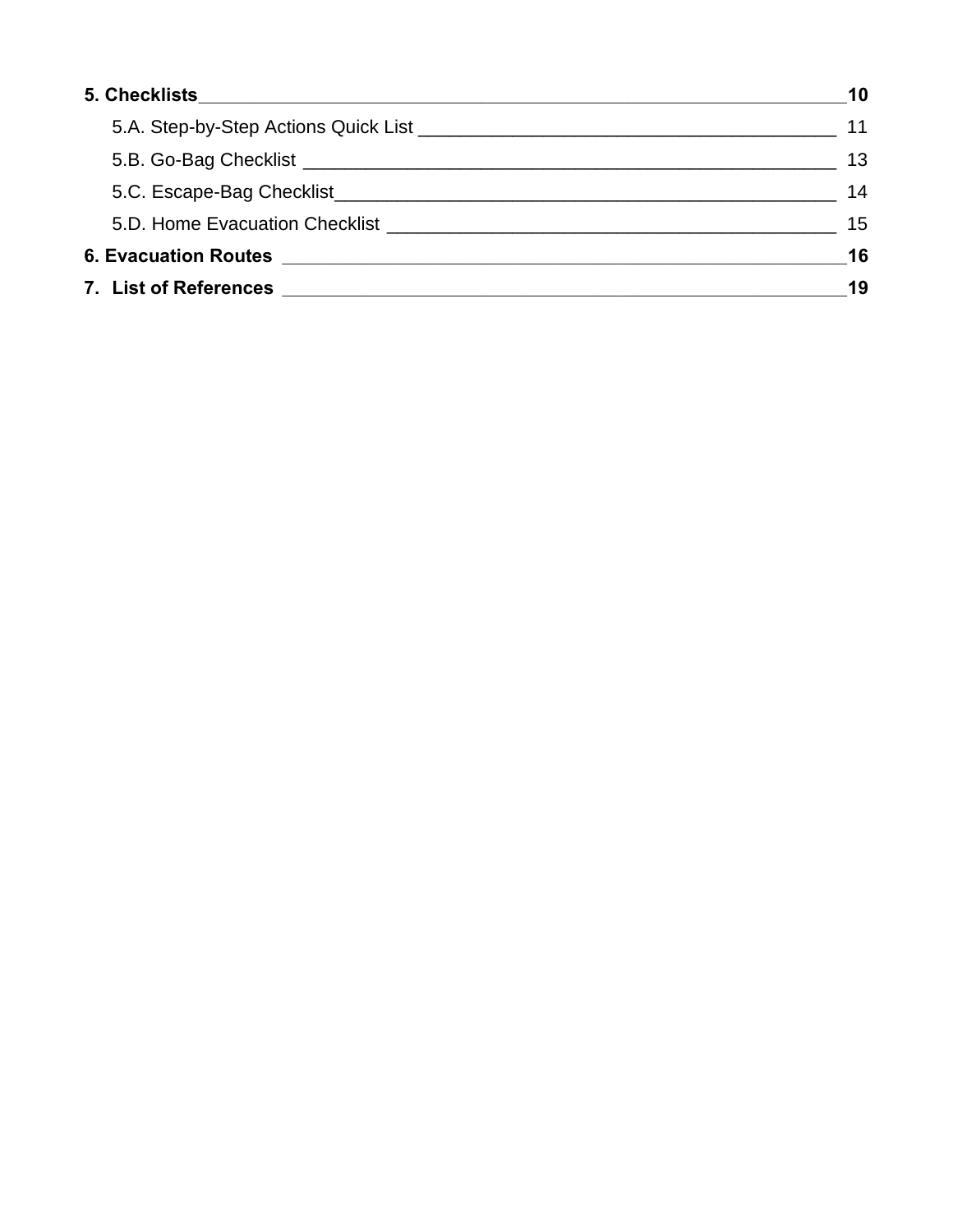|                                                                                                                                                                                                                                                                        | 10 |
|------------------------------------------------------------------------------------------------------------------------------------------------------------------------------------------------------------------------------------------------------------------------|----|
|                                                                                                                                                                                                                                                                        | 11 |
|                                                                                                                                                                                                                                                                        | 13 |
|                                                                                                                                                                                                                                                                        | 14 |
| 5.D. Home Evacuation Checklist <b>Constitution</b> Checklist <b>Constitution</b> Checklist <b>Constitution</b> Checklist <b>Constitution</b> Checklist <b>Constitution</b> Checklist <b>Constitution</b> Checklist <b>Constitution</b> Checklist <b>Constitution</b> C | 15 |
|                                                                                                                                                                                                                                                                        | 16 |
|                                                                                                                                                                                                                                                                        | 19 |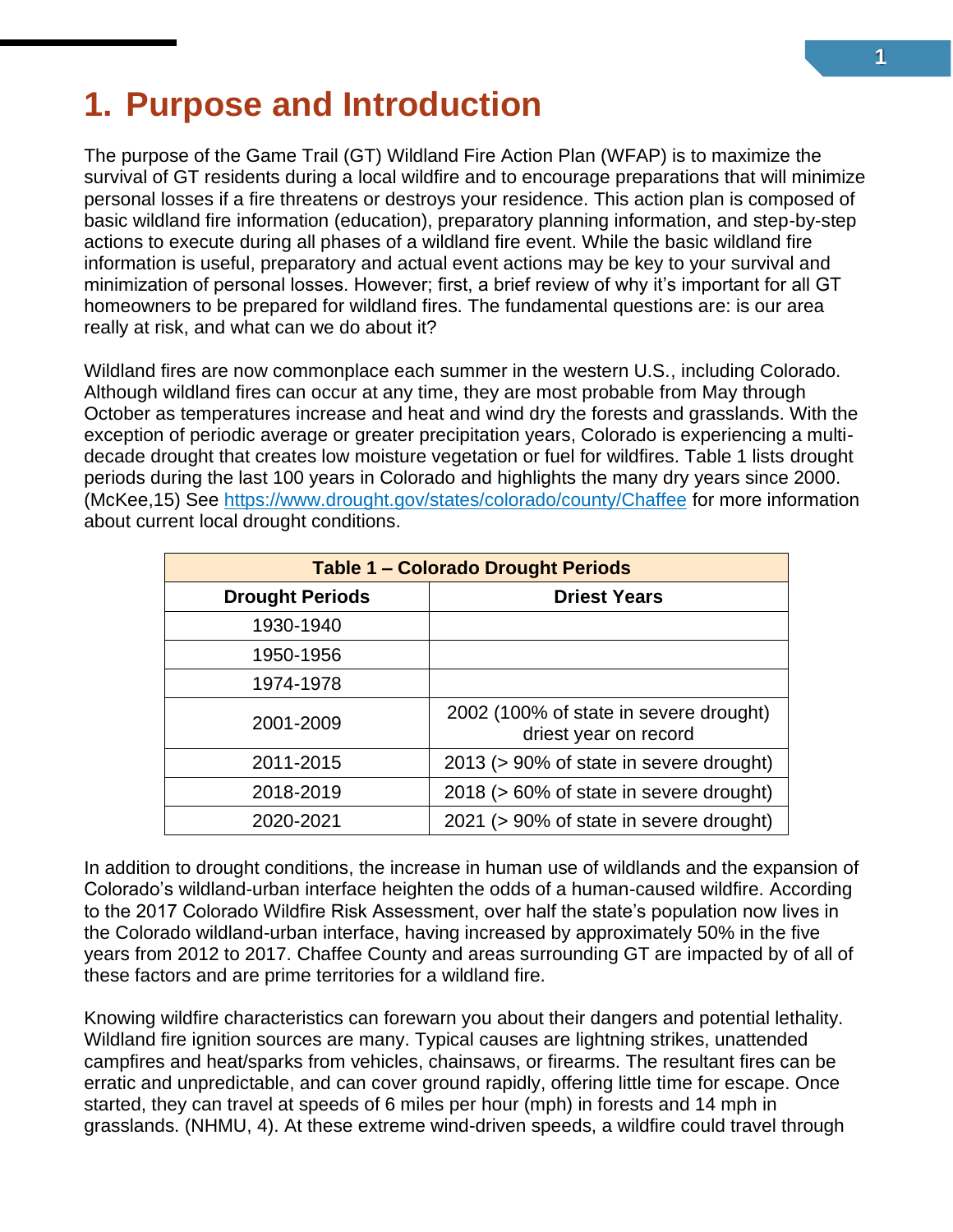# <span id="page-4-0"></span>**1. Purpose and Introduction**

The purpose of the Game Trail (GT) Wildland Fire Action Plan (WFAP) is to maximize the survival of GT residents during a local wildfire and to encourage preparations that will minimize personal losses if a fire threatens or destroys your residence. This action plan is composed of basic wildland fire information (education), preparatory planning information, and step-by-step actions to execute during all phases of a wildland fire event. While the basic wildland fire information is useful, preparatory and actual event actions may be key to your survival and minimization of personal losses. However; first, a brief review of why it's important for all GT homeowners to be prepared for wildland fires. The fundamental questions are: is our area really at risk, and what can we do about it?

Wildland fires are now commonplace each summer in the western U.S., including Colorado. Although wildland fires can occur at any time, they are most probable from May through October as temperatures increase and heat and wind dry the forests and grasslands. With the exception of periodic average or greater precipitation years, Colorado is experiencing a multidecade drought that creates low moisture vegetation or fuel for wildfires. Table 1 lists drought periods during the last 100 years in Colorado and highlights the many dry years since 2000. (McKee,15) See <https://www.drought.gov/states/colorado/county/Chaffee> for more information about current local drought conditions.

| <b>Table 1 - Colorado Drought Periods</b> |                                                                 |  |
|-------------------------------------------|-----------------------------------------------------------------|--|
| <b>Drought Periods</b>                    | <b>Driest Years</b>                                             |  |
| 1930-1940                                 |                                                                 |  |
| 1950-1956                                 |                                                                 |  |
| 1974-1978                                 |                                                                 |  |
| 2001-2009                                 | 2002 (100% of state in severe drought)<br>driest year on record |  |
| 2011-2015                                 | 2013 (> 90% of state in severe drought)                         |  |
| 2018-2019                                 | 2018 (> 60% of state in severe drought)                         |  |
| 2020-2021                                 | 2021 (> 90% of state in severe drought)                         |  |

In addition to drought conditions, the increase in human use of wildlands and the expansion of Colorado's wildland-urban interface heighten the odds of a human-caused wildfire. According to the 2017 Colorado Wildfire Risk Assessment, over half the state's population now lives in the Colorado wildland-urban interface, having increased by approximately 50% in the five years from 2012 to 2017. Chaffee County and areas surrounding GT are impacted by of all of these factors and are prime territories for a wildland fire.

Knowing wildfire characteristics can forewarn you about their dangers and potential lethality. Wildland fire ignition sources are many. Typical causes are lightning strikes, unattended campfires and heat/sparks from vehicles, chainsaws, or firearms. The resultant fires can be erratic and unpredictable, and can cover ground rapidly, offering little time for escape. Once started, they can travel at speeds of 6 miles per hour (mph) in forests and 14 mph in grasslands. (NHMU, 4). At these extreme wind-driven speeds, a wildfire could travel through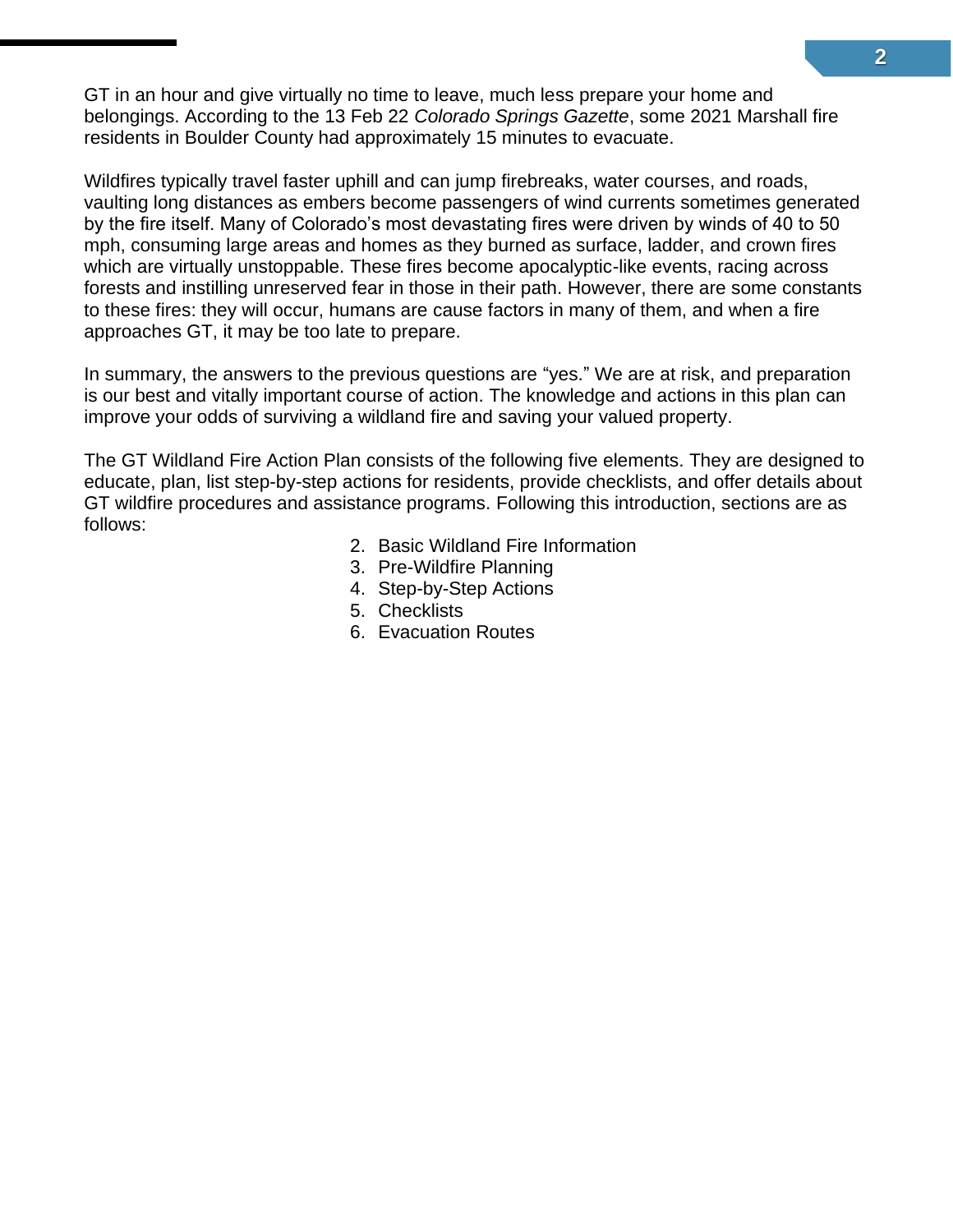GT in an hour and give virtually no time to leave, much less prepare your home and belongings. According to the 13 Feb 22 *Colorado Springs Gazette*, some 2021 Marshall fire residents in Boulder County had approximately 15 minutes to evacuate.

Wildfires typically travel faster uphill and can jump firebreaks, water courses, and roads, vaulting long distances as embers become passengers of wind currents sometimes generated by the fire itself. Many of Colorado's most devastating fires were driven by winds of 40 to 50 mph, consuming large areas and homes as they burned as surface, ladder, and crown fires which are virtually unstoppable. These fires become apocalyptic-like events, racing across forests and instilling unreserved fear in those in their path. However, there are some constants to these fires: they will occur, humans are cause factors in many of them, and when a fire approaches GT, it may be too late to prepare.

In summary, the answers to the previous questions are "yes." We are at risk, and preparation is our best and vitally important course of action. The knowledge and actions in this plan can improve your odds of surviving a wildland fire and saving your valued property.

The GT Wildland Fire Action Plan consists of the following five elements. They are designed to educate, plan, list step-by-step actions for residents, provide checklists, and offer details about GT wildfire procedures and assistance programs. Following this introduction, sections are as follows:

- 2. Basic Wildland Fire Information
- 3. Pre-Wildfire Planning
- 4. Step-by-Step Actions
- 5. Checklists
- 6. Evacuation Routes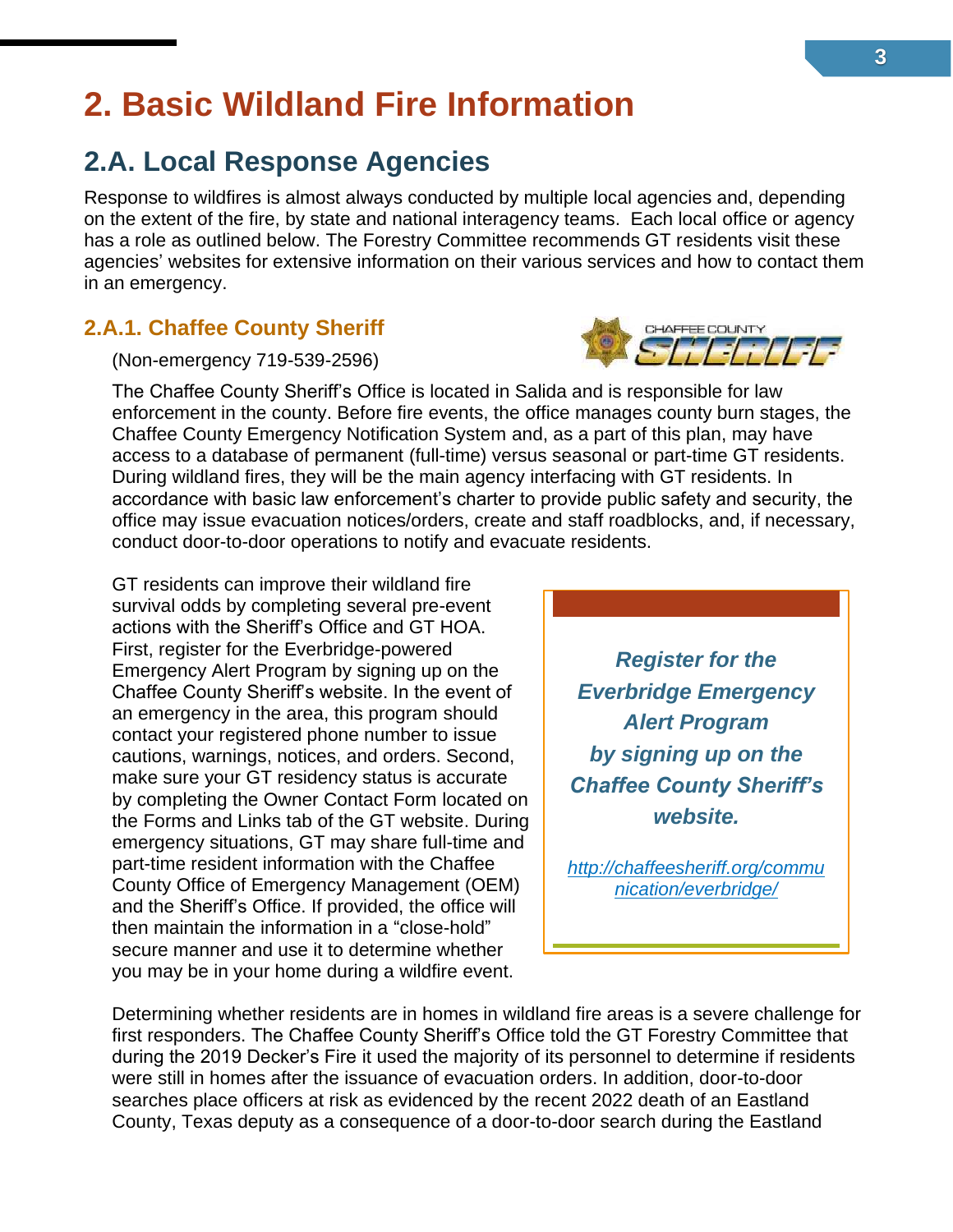# <span id="page-6-0"></span>**2. Basic Wildland Fire Information**

### <span id="page-6-1"></span>**2.A. Local Response Agencies**

Response to wildfires is almost always conducted by multiple local agencies and, depending on the extent of the fire, by state and national interagency teams. Each local office or agency has a role as outlined below. The Forestry Committee recommends GT residents visit these agencies' websites for extensive information on their various services and how to contact them in an emergency.

#### <span id="page-6-2"></span>**2.A.1. Chaffee County Sheriff**

(Non-emergency 719-539-2596)

The Chaffee County Sheriff's Office is located in Salida and is responsible for law enforcement in the county. Before fire events, the office manages county burn stages, the Chaffee County Emergency Notification System and, as a part of this plan, may have access to a database of permanent (full-time) versus seasonal or part-time GT residents. During wildland fires, they will be the main agency interfacing with GT residents. In accordance with basic law enforcement's charter to provide public safety and security, the office may issue evacuation notices/orders, create and staff roadblocks, and, if necessary, conduct door-to-door operations to notify and evacuate residents.

GT residents can improve their wildland fire survival odds by completing several pre-event actions with the Sheriff's Office and GT HOA. First, register for the Everbridge-powered Emergency Alert Program by signing up on the Chaffee County Sheriff's website. In the event of an emergency in the area, this program should contact your registered phone number to issue cautions, warnings, notices, and orders. Second, make sure your GT residency status is accurate by completing the Owner Contact Form located on the Forms and Links tab of the GT website. During emergency situations, GT may share full-time and part-time resident information with the Chaffee County Office of Emergency Management (OEM) and the Sheriff's Office. If provided, the office will then maintain the information in a "close-hold" secure manner and use it to determine whether you may be in your home during a wildfire event.

*[http://chaffeesheriff.org/commu](http://chaffeesheriff.org/communication/everbridge/) [nication/everbridge/](http://chaffeesheriff.org/communication/everbridge/)*

Determining whether residents are in homes in wildland fire areas is a severe challenge for first responders. The Chaffee County Sheriff's Office told the GT Forestry Committee that during the 2019 Decker's Fire it used the majority of its personnel to determine if residents were still in homes after the issuance of evacuation orders. In addition, door-to-door searches place officers at risk as evidenced by the recent 2022 death of an Eastland County, Texas deputy as a consequence of a door-to-door search during the Eastland



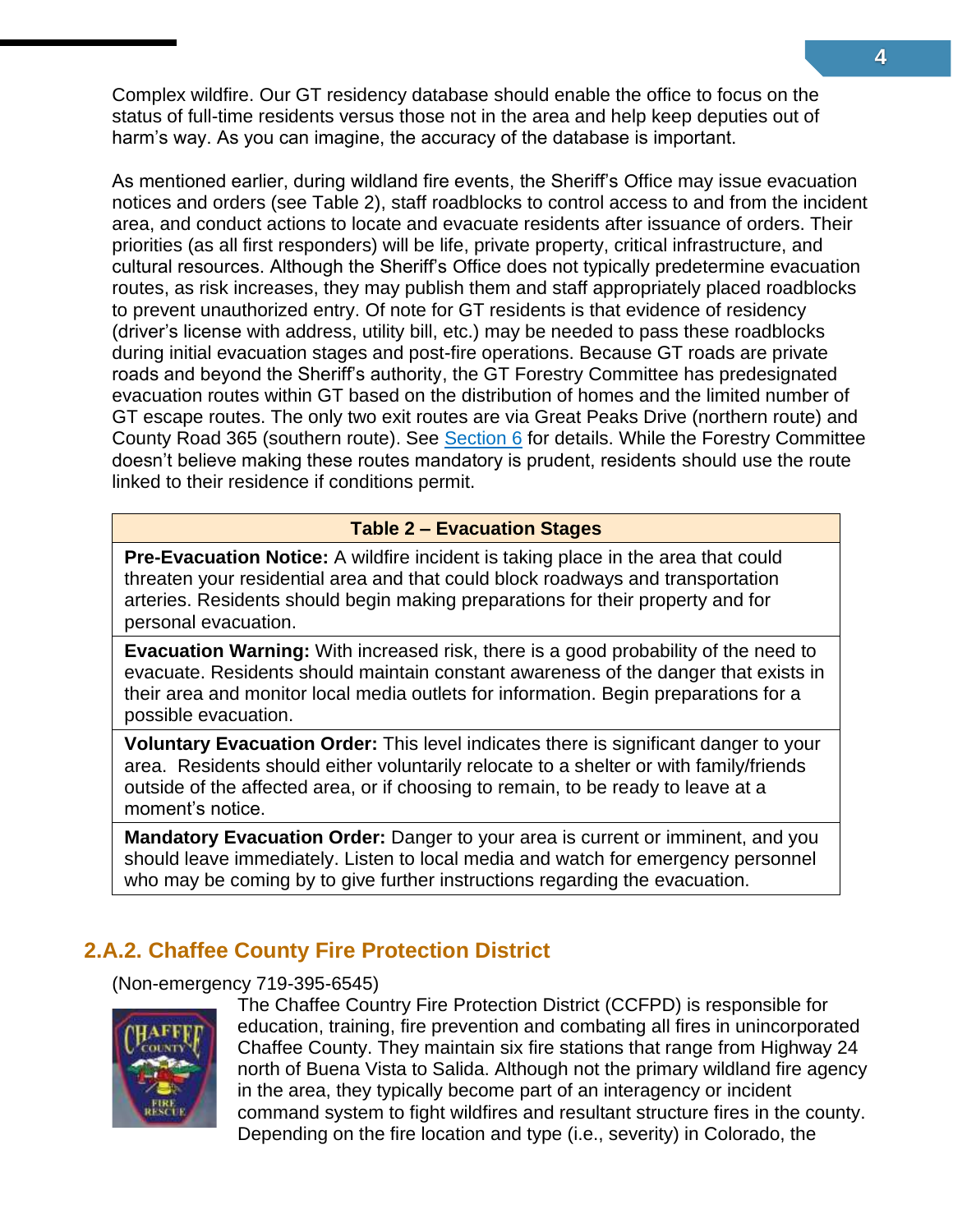Complex wildfire. Our GT residency database should enable the office to focus on the status of full-time residents versus those not in the area and help keep deputies out of harm's way. As you can imagine, the accuracy of the database is important.

As mentioned earlier, during wildland fire events, the Sheriff's Office may issue evacuation notices and orders (see Table 2), staff roadblocks to control access to and from the incident area, and conduct actions to locate and evacuate residents after issuance of orders. Their priorities (as all first responders) will be life, private property, critical infrastructure, and cultural resources. Although the Sheriff's Office does not typically predetermine evacuation routes, as risk increases, they may publish them and staff appropriately placed roadblocks to prevent unauthorized entry. Of note for GT residents is that evidence of residency (driver's license with address, utility bill, etc.) may be needed to pass these roadblocks during initial evacuation stages and post-fire operations. Because GT roads are private roads and beyond the Sheriff's authority, the GT Forestry Committee has predesignated evacuation routes within GT based on the distribution of homes and the limited number of GT escape routes. The only two exit routes are via Great Peaks Drive (northern route) and County Road 365 (southern route). See [Section 6](#page-27-0) for details. While the Forestry Committee doesn't believe making these routes mandatory is prudent, residents should use the route linked to their residence if conditions permit.

#### **Table 2 – Evacuation Stages**

**Pre-Evacuation Notice:** A wildfire incident is taking place in the area that could threaten your residential area and that could block roadways and transportation arteries. Residents should begin making preparations for their property and for personal evacuation.

**Evacuation Warning:** With increased risk, there is a good probability of the need to evacuate. Residents should maintain constant awareness of the danger that exists in their area and monitor local media outlets for information. Begin preparations for a possible evacuation.

**Voluntary Evacuation Order:** This level indicates there is significant danger to your area. Residents should either voluntarily relocate to a shelter or with family/friends outside of the affected area, or if choosing to remain, to be ready to leave at a moment's notice.

**Mandatory Evacuation Order:** Danger to your area is current or imminent, and you should leave immediately. Listen to local media and watch for emergency personnel who may be coming by to give further instructions regarding the evacuation.

#### <span id="page-7-0"></span>**2.A.2. Chaffee County Fire Protection District**

#### (Non-emergency 719-395-6545)



The Chaffee Country Fire Protection District (CCFPD) is responsible for education, training, fire prevention and combating all fires in unincorporated Chaffee County. They maintain six fire stations that range from Highway 24 north of Buena Vista to Salida. Although not the primary wildland fire agency in the area, they typically become part of an interagency or incident command system to fight wildfires and resultant structure fires in the county. Depending on the fire location and type (i.e., severity) in Colorado, the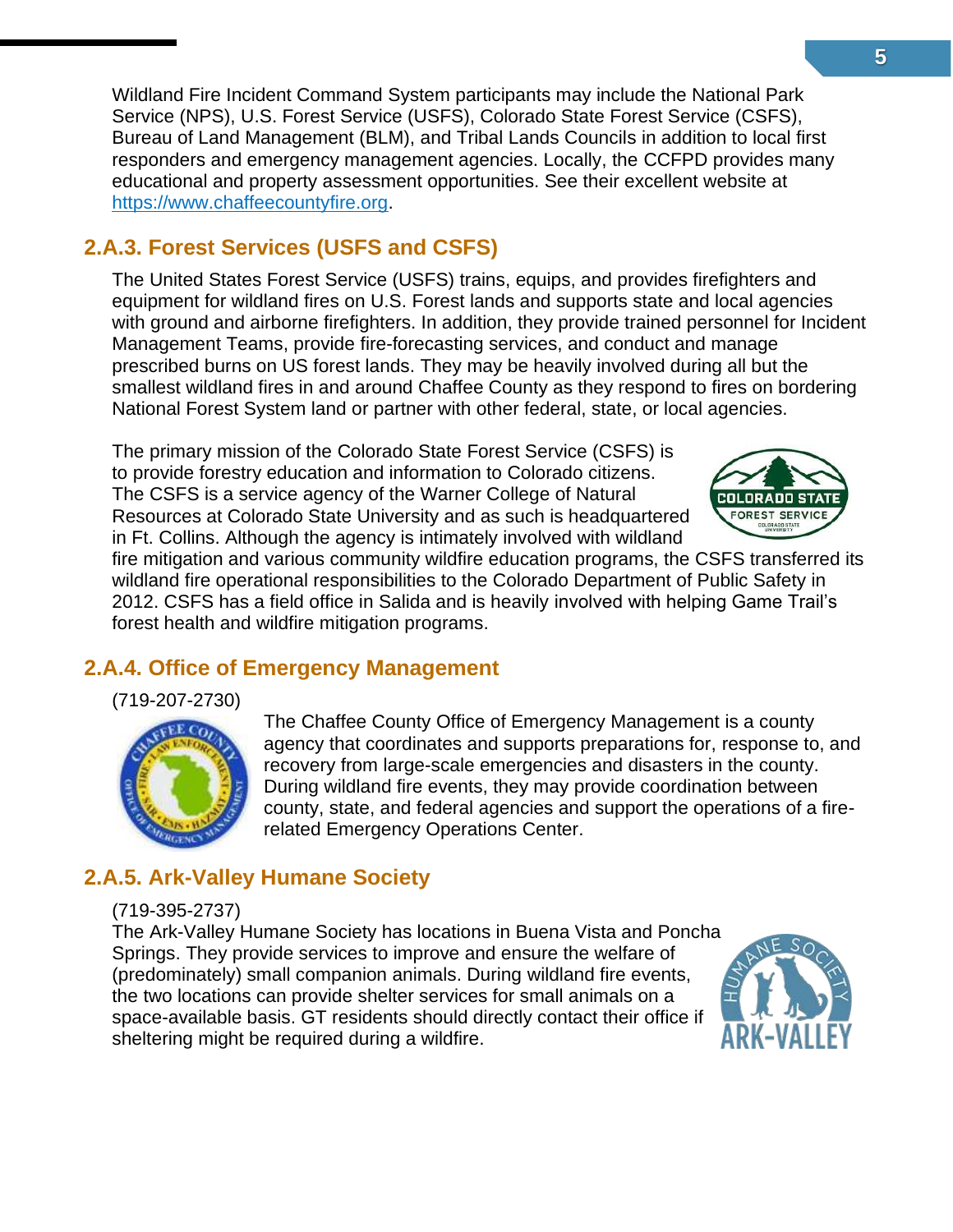Wildland Fire Incident Command System participants may include the National Park Service (NPS), U.S. Forest Service (USFS), Colorado State Forest Service (CSFS), Bureau of Land Management (BLM), and Tribal Lands Councils in addition to local first responders and emergency management agencies. Locally, the CCFPD provides many educational and property assessment opportunities. See their excellent website at [https://www.chaffeecountyfire.org.](https://www.chaffeecountyfire.org/)

#### <span id="page-8-0"></span>**2.A.3. Forest Services (USFS and CSFS)**

The United States Forest Service (USFS) trains, equips, and provides firefighters and equipment for wildland fires on U.S. Forest lands and supports state and local agencies with ground and airborne firefighters. In addition, they provide trained personnel for Incident Management Teams, provide fire-forecasting services, and conduct and manage prescribed burns on US forest lands. They may be heavily involved during all but the smallest wildland fires in and around Chaffee County as they respond to fires on bordering National Forest System land or partner with other federal, state, or local agencies.

The primary mission of the Colorado State Forest Service (CSFS) is to provide forestry education and information to Colorado citizens. The CSFS is a service agency of the Warner College of Natural Resources at Colorado State University and as such is headquartered in Ft. Collins. Although the agency is intimately involved with wildland

fire mitigation and various community wildfire education programs, the CSFS transferred its wildland fire operational responsibilities to the Colorado Department of Public Safety in 2012. CSFS has a field office in Salida and is heavily involved with helping Game Trail's forest health and wildfire mitigation programs.

#### <span id="page-8-1"></span>**2.A.4. Office of Emergency Management**

(719-207-2730)



The Chaffee County Office of Emergency Management is a county agency that coordinates and supports preparations for, response to, and recovery from large-scale emergencies and disasters in the county. During wildland fire events, they may provide coordination between county, state, and federal agencies and support the operations of a firerelated Emergency Operations Center.

### <span id="page-8-2"></span>**2.A.5. Ark-Valley Humane Society**

#### (719-395-2737)

The Ark-Valley Humane Society has locations in Buena Vista and Poncha Springs. They provide services to improve and ensure the welfare of (predominately) small companion animals. During wildland fire events, the two locations can provide shelter services for small animals on a space-available basis. GT residents should directly contact their office if sheltering might be required during a wildfire.



**FOREST SER**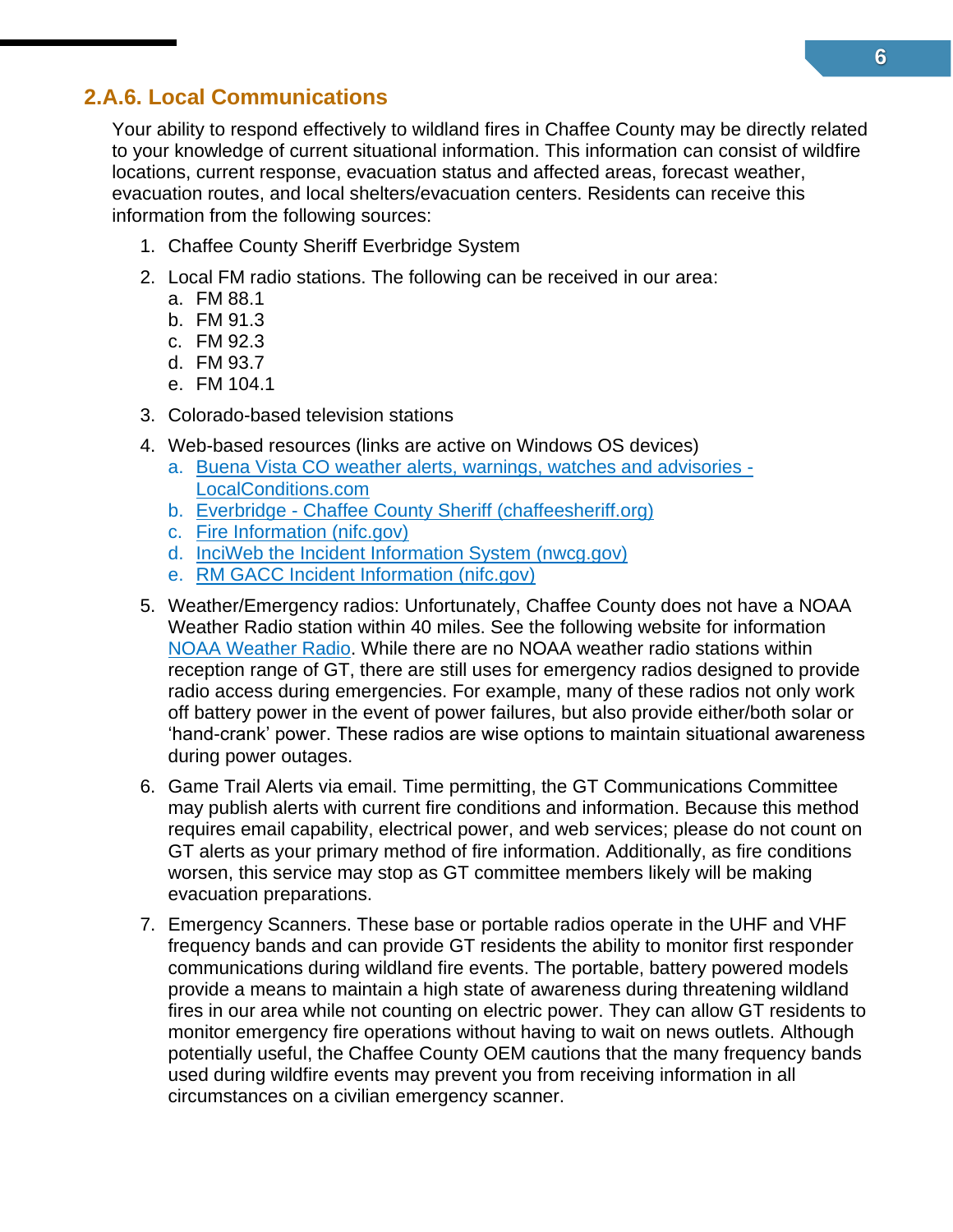#### <span id="page-9-0"></span>**2.A.6. Local Communications**

Your ability to respond effectively to wildland fires in Chaffee County may be directly related to your knowledge of current situational information. This information can consist of wildfire locations, current response, evacuation status and affected areas, forecast weather, evacuation routes, and local shelters/evacuation centers. Residents can receive this information from the following sources:

- 1. Chaffee County Sheriff Everbridge System
- 2. Local FM radio stations. The following can be received in our area:
	- a. FM 88.1
	- b. FM 91.3
	- c. FM 92.3
	- d. FM 93.7
	- e. FM 104.1
- 3. Colorado-based television stations
- 4. Web-based resources (links are active on Windows OS devices)
	- a. [Buena Vista CO weather alerts, warnings, watches and advisories -](https://www.localconditions.com/weather-buena-vista-colorado/81211/alerts.php) [LocalConditions.com](https://www.localconditions.com/weather-buena-vista-colorado/81211/alerts.php)
	- b. Everbridge [Chaffee County Sheriff \(chaffeesheriff.org\)](http://chaffeesheriff.org/communication/everbridge/)
	- c. [Fire Information \(nifc.gov\)](https://www.nifc.gov/fire-information)
	- d. [InciWeb the Incident Information System \(nwcg.gov\)](https://inciweb.nwcg.gov/)
	- e. [RM GACC Incident Information \(nifc.gov\)](https://gacc.nifc.gov/rmcc/incident_info.php)
- 5. Weather/Emergency radios: Unfortunately, Chaffee County does not have a NOAA Weather Radio station within 40 miles. See the following website for information [NOAA Weather Radio.](https://www.weather.gov/nwr/) While there are no NOAA weather radio stations within reception range of GT, there are still uses for emergency radios designed to provide radio access during emergencies. For example, many of these radios not only work off battery power in the event of power failures, but also provide either/both solar or 'hand-crank' power. These radios are wise options to maintain situational awareness during power outages.
- 6. Game Trail Alerts via email. Time permitting, the GT Communications Committee may publish alerts with current fire conditions and information. Because this method requires email capability, electrical power, and web services; please do not count on GT alerts as your primary method of fire information. Additionally, as fire conditions worsen, this service may stop as GT committee members likely will be making evacuation preparations.
- 7. Emergency Scanners. These base or portable radios operate in the UHF and VHF frequency bands and can provide GT residents the ability to monitor first responder communications during wildland fire events. The portable, battery powered models provide a means to maintain a high state of awareness during threatening wildland fires in our area while not counting on electric power. They can allow GT residents to monitor emergency fire operations without having to wait on news outlets. Although potentially useful, the Chaffee County OEM cautions that the many frequency bands used during wildfire events may prevent you from receiving information in all circumstances on a civilian emergency scanner.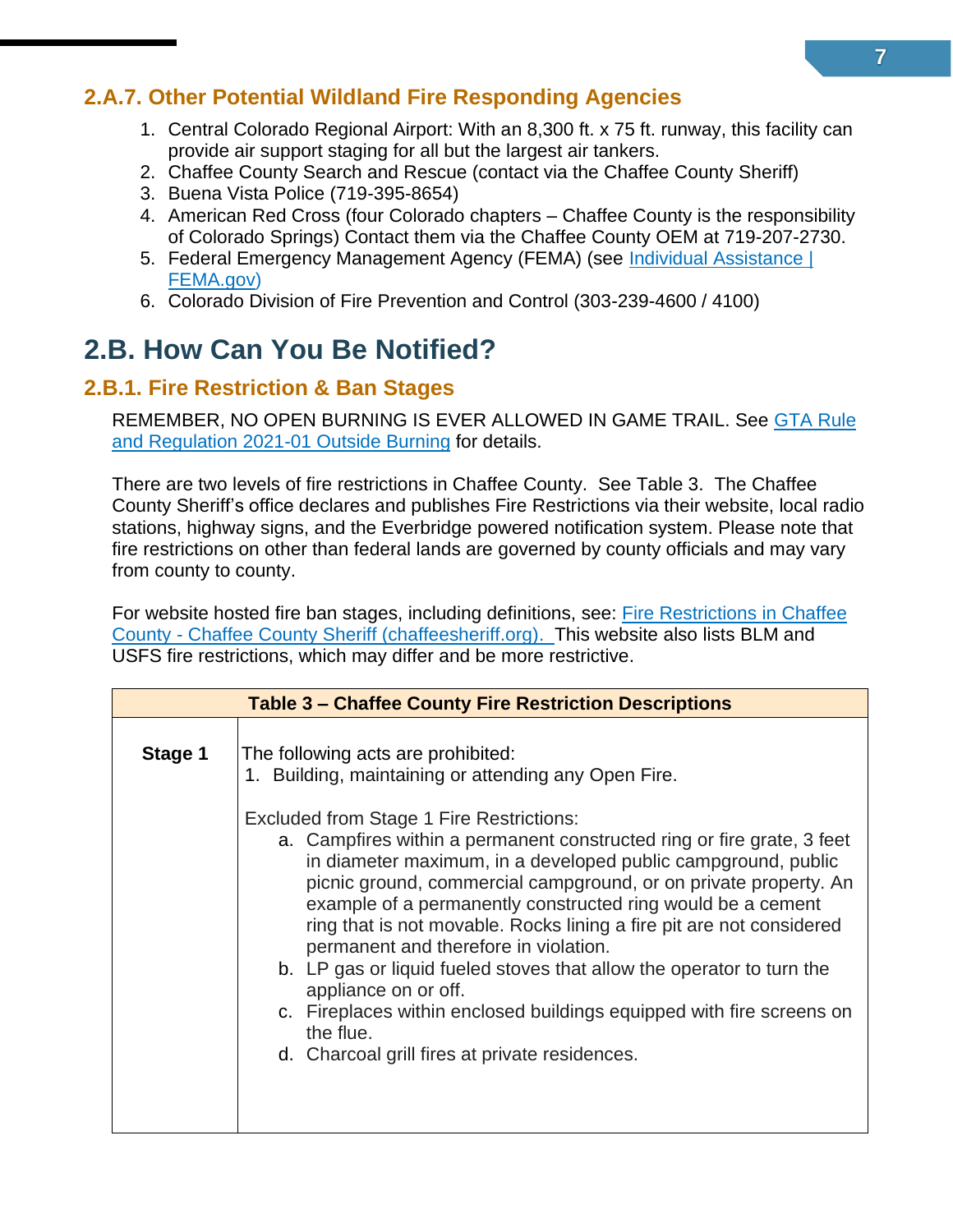#### <span id="page-10-0"></span>**2.A.7. Other Potential Wildland Fire Responding Agencies**

- 1. Central Colorado Regional Airport: With an 8,300 ft. x 75 ft. runway, this facility can provide air support staging for all but the largest air tankers.
- 2. Chaffee County Search and Rescue (contact via the Chaffee County Sheriff)
- 3. Buena Vista Police (719-395-8654)
- 4. American Red Cross (four Colorado chapters Chaffee County is the responsibility of Colorado Springs) Contact them via the Chaffee County OEM at 719-207-2730.
- 5. Federal Emergency Management Agency (FEMA) (see Individual Assistance | [FEMA.gov\)](https://www.fema.gov/assistance/individual)
- 6. Colorado Division of Fire Prevention and Control (303-239-4600 / 4100)

### <span id="page-10-1"></span>**2.B. How Can You Be Notified?**

#### <span id="page-10-2"></span>**2.B.1. Fire Restriction & Ban Stages**

REMEMBER, NO OPEN BURNING IS EVER ALLOWED IN GAME TRAIL. See [GTA Rule](https://gametrailassn.org/dev/wp-content/uploads/2021/03/Outside-Burning-Rule-Reg-21-01-V7-2021-03-10.pdf)  [and Regulation 2021-01 Outside Burning](https://gametrailassn.org/dev/wp-content/uploads/2021/03/Outside-Burning-Rule-Reg-21-01-V7-2021-03-10.pdf) for details.

There are two levels of fire restrictions in Chaffee County. See Table 3. The Chaffee County Sheriff's office declares and publishes Fire Restrictions via their website, local radio stations, highway signs, and the Everbridge powered notification system. Please note that fire restrictions on other than federal lands are governed by county officials and may vary from county to county.

For website hosted fire ban stages, including definitions, see: [Fire Restrictions in Chaffee](http://chaffeesheriff.org/fire-restrictions/)  County - [Chaffee County Sheriff \(chaffeesheriff.org\).](http://chaffeesheriff.org/fire-restrictions/) This website also lists BLM and USFS fire restrictions, which may differ and be more restrictive.

| <b>Table 3 – Chaffee County Fire Restriction Descriptions</b> |                                                                                                                                                                                                                                                                                                                                                                                                                                                                                                                                                                                                                                                                                         |  |
|---------------------------------------------------------------|-----------------------------------------------------------------------------------------------------------------------------------------------------------------------------------------------------------------------------------------------------------------------------------------------------------------------------------------------------------------------------------------------------------------------------------------------------------------------------------------------------------------------------------------------------------------------------------------------------------------------------------------------------------------------------------------|--|
| Stage 1                                                       | The following acts are prohibited:<br>1. Building, maintaining or attending any Open Fire.                                                                                                                                                                                                                                                                                                                                                                                                                                                                                                                                                                                              |  |
|                                                               | <b>Excluded from Stage 1 Fire Restrictions:</b><br>a. Campfires within a permanent constructed ring or fire grate, 3 feet<br>in diameter maximum, in a developed public campground, public<br>picnic ground, commercial campground, or on private property. An<br>example of a permanently constructed ring would be a cement<br>ring that is not movable. Rocks lining a fire pit are not considered<br>permanent and therefore in violation.<br>b. LP gas or liquid fueled stoves that allow the operator to turn the<br>appliance on or off.<br>c. Fireplaces within enclosed buildings equipped with fire screens on<br>the flue.<br>d. Charcoal grill fires at private residences. |  |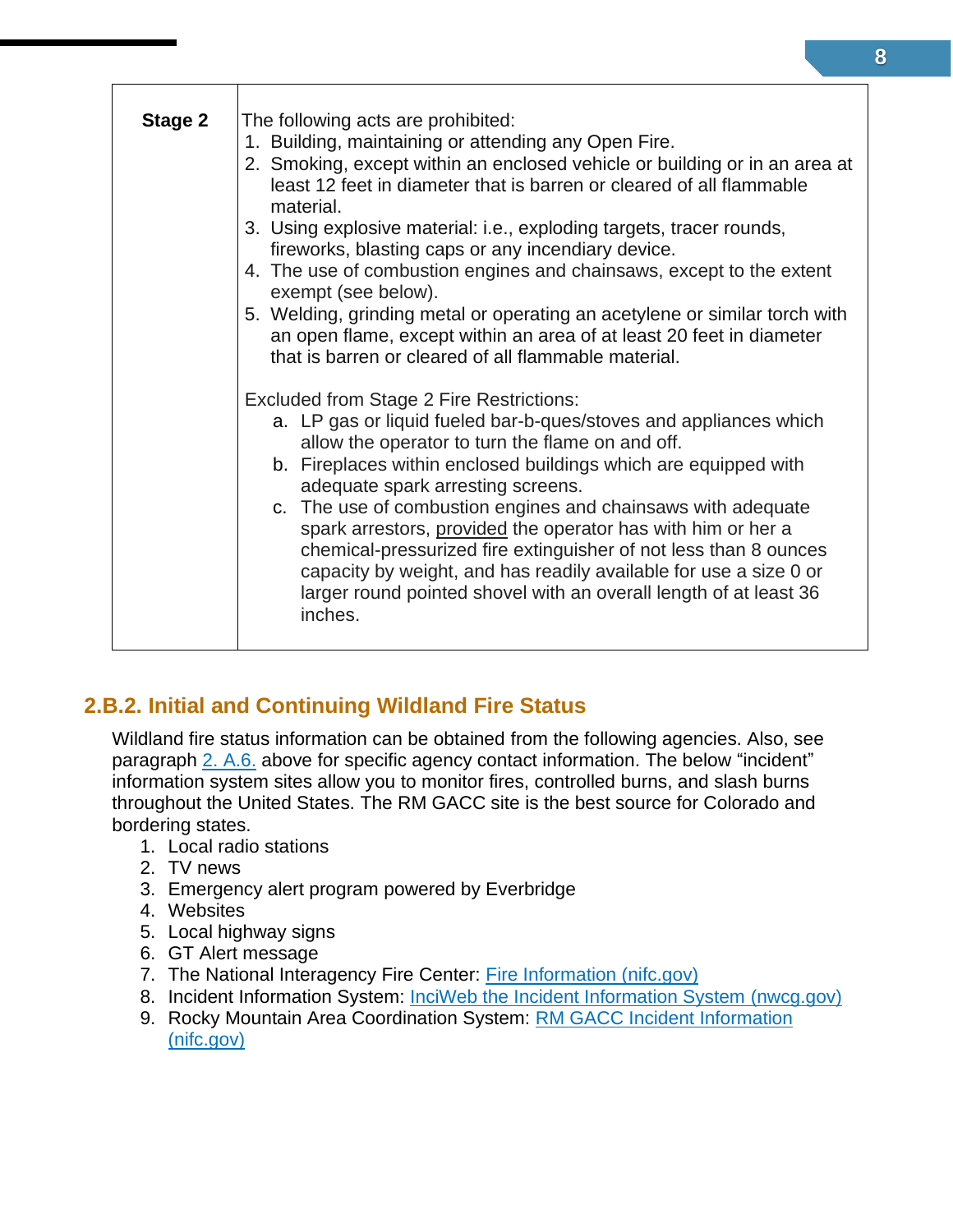| Stage 2 | The following acts are prohibited:                                                                                                                                                                                                                                                                                                                    |
|---------|-------------------------------------------------------------------------------------------------------------------------------------------------------------------------------------------------------------------------------------------------------------------------------------------------------------------------------------------------------|
|         | 1. Building, maintaining or attending any Open Fire.                                                                                                                                                                                                                                                                                                  |
|         | 2. Smoking, except within an enclosed vehicle or building or in an area at<br>least 12 feet in diameter that is barren or cleared of all flammable<br>material.                                                                                                                                                                                       |
|         | 3. Using explosive material: i.e., exploding targets, tracer rounds,<br>fireworks, blasting caps or any incendiary device.                                                                                                                                                                                                                            |
|         | 4. The use of combustion engines and chainsaws, except to the extent<br>exempt (see below).                                                                                                                                                                                                                                                           |
|         | 5. Welding, grinding metal or operating an acetylene or similar torch with<br>an open flame, except within an area of at least 20 feet in diameter<br>that is barren or cleared of all flammable material.                                                                                                                                            |
|         | <b>Excluded from Stage 2 Fire Restrictions:</b>                                                                                                                                                                                                                                                                                                       |
|         | a. LP gas or liquid fueled bar-b-ques/stoves and appliances which<br>allow the operator to turn the flame on and off.                                                                                                                                                                                                                                 |
|         | b. Fireplaces within enclosed buildings which are equipped with<br>adequate spark arresting screens.                                                                                                                                                                                                                                                  |
|         | c. The use of combustion engines and chainsaws with adequate<br>spark arrestors, provided the operator has with him or her a<br>chemical-pressurized fire extinguisher of not less than 8 ounces<br>capacity by weight, and has readily available for use a size 0 or<br>larger round pointed shovel with an overall length of at least 36<br>inches. |
|         |                                                                                                                                                                                                                                                                                                                                                       |

#### <span id="page-11-0"></span>**2.B.2. Initial and Continuing Wildland Fire Status**

Wildland fire status information can be obtained from the following agencies. Also, see paragraph [2. A.6.](#page-9-0) above for specific agency contact information. The below "incident" information system sites allow you to monitor fires, controlled burns, and slash burns throughout the United States. The RM GACC site is the best source for Colorado and bordering states.

- 1. Local radio stations
- 2. TV news
- 3. Emergency alert program powered by Everbridge
- 4. Websites
- 5. Local highway signs
- 6. GT Alert message
- 7. The National Interagency Fire Center: [Fire Information \(nifc.gov\)](https://www.nifc.gov/fire-information)
- 8. Incident Information System: [InciWeb the Incident Information System \(nwcg.gov\)](https://inciweb.nwcg.gov/)
- 9. Rocky Mountain Area Coordination System: [RM GACC Incident Information](https://gacc.nifc.gov/rmcc/incident_info.php)  [\(nifc.gov\)](https://gacc.nifc.gov/rmcc/incident_info.php)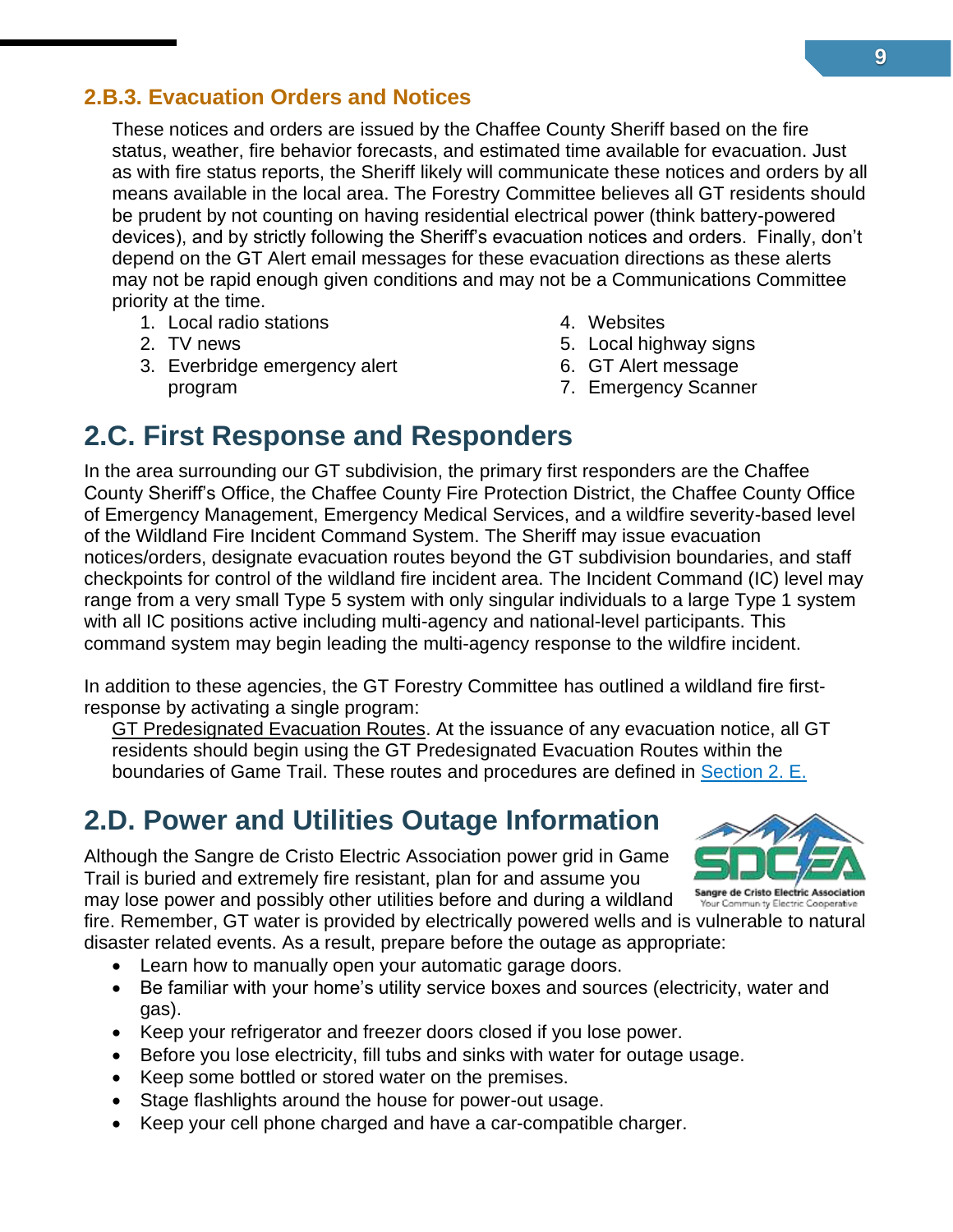#### <span id="page-12-0"></span>**2.B.3. Evacuation Orders and Notices**

These notices and orders are issued by the Chaffee County Sheriff based on the fire status, weather, fire behavior forecasts, and estimated time available for evacuation. Just as with fire status reports, the Sheriff likely will communicate these notices and orders by all means available in the local area. The Forestry Committee believes all GT residents should be prudent by not counting on having residential electrical power (think battery-powered devices), and by strictly following the Sheriff's evacuation notices and orders. Finally, don't depend on the GT Alert email messages for these evacuation directions as these alerts may not be rapid enough given conditions and may not be a Communications Committee priority at the time.

- 1. Local radio stations
- 2. TV news
- 3. Everbridge emergency alert program
- 4. Websites
- 5. Local highway signs
- 6. GT Alert message
- 7. Emergency Scanner

### <span id="page-12-1"></span>**2.C. First Response and Responders**

In the area surrounding our GT subdivision, the primary first responders are the Chaffee County Sheriff's Office, the Chaffee County Fire Protection District, the Chaffee County Office of Emergency Management, Emergency Medical Services, and a wildfire severity-based level of the Wildland Fire Incident Command System. The Sheriff may issue evacuation notices/orders, designate evacuation routes beyond the GT subdivision boundaries, and staff checkpoints for control of the wildland fire incident area. The Incident Command (IC) level may range from a very small Type 5 system with only singular individuals to a large Type 1 system with all IC positions active including multi-agency and national-level participants. This command system may begin leading the multi-agency response to the wildfire incident.

In addition to these agencies, the GT Forestry Committee has outlined a wildland fire firstresponse by activating a single program:

GT Predesignated Evacuation Routes. At the issuance of any evacuation notice, all GT residents should begin using the GT Predesignated Evacuation Routes within the boundaries of Game Trail. These routes and procedures are defined in [Section 2. E.](#page-27-1)

### <span id="page-12-2"></span>**2.D. Power and Utilities Outage Information**

Although the Sangre de Cristo Electric Association power grid in Game Trail is buried and extremely fire resistant, plan for and assume you

may lose power and possibly other utilities before and during a wildland

fire. Remember, GT water is provided by electrically powered wells and is vulnerable to natural disaster related events. As a result, prepare before the outage as appropriate:

- Learn how to manually open your automatic garage doors.
- Be familiar with your home's utility service boxes and sources (electricity, water and gas).
- Keep your refrigerator and freezer doors closed if you lose power.
- Before you lose electricity, fill tubs and sinks with water for outage usage.
- Keep some bottled or stored water on the premises.
- Stage flashlights around the house for power-out usage.
- Keep your cell phone charged and have a car-compatible charger.

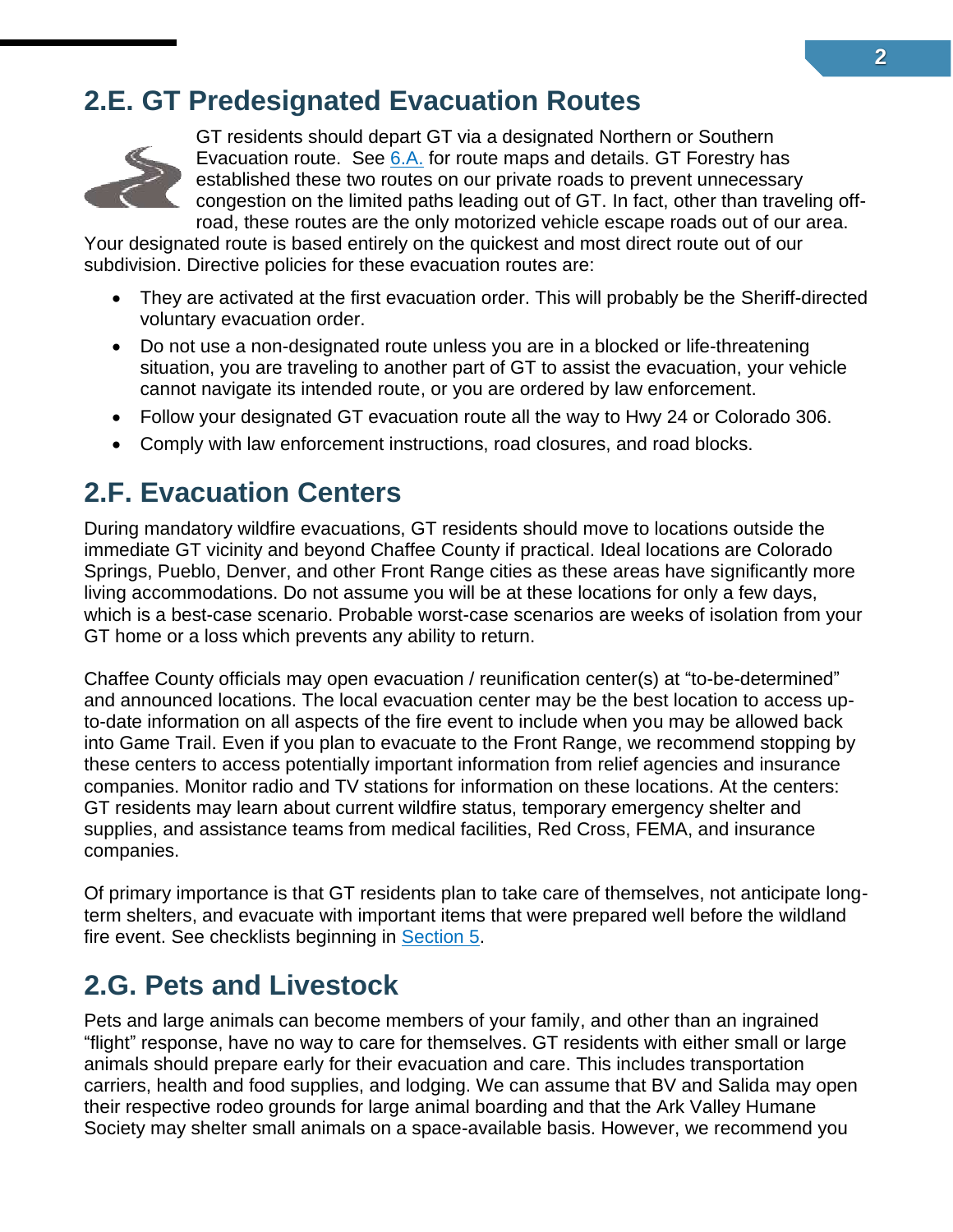### <span id="page-13-0"></span>**2.E. GT Predesignated Evacuation Routes**



GT residents should depart GT via a designated Northern or Southern Evacuation route. See [6.A.](#page-27-0) for route maps and details. GT Forestry has established these two routes on our private roads to prevent unnecessary congestion on the limited paths leading out of GT. In fact, other than traveling offroad, these routes are the only motorized vehicle escape roads out of our area.

[Your des](http://www.pngall.com/road-png/download/25065)ignated route is based entirely on the quickest and most direct route out of our subdivision. Directive policies for these evacuation routes are:

- They are activated at the first evacuation order. This will probably be the Sheriff-directed [volu](https://creativecommons.org/licenses/by-nc/3.0/)ntary evacuation order.
- [•](https://creativecommons.org/licenses/by-nc/3.0/) Do not use a non-designated route unless you are in a blocked or life-threatening situation, you are traveling to another part of GT to assist the evacuation, your vehicle cannot navigate its intended route, or you are ordered by law enforcement.
- Follow your designated GT evacuation route all the way to Hwy 24 or Colorado 306.
- Comply with law enforcement instructions, road closures, and road blocks.

### <span id="page-13-1"></span>**2.F. Evacuation Centers**

During mandatory wildfire evacuations, GT residents should move to locations outside the immediate GT vicinity and beyond Chaffee County if practical. Ideal locations are Colorado Springs, Pueblo, Denver, and other Front Range cities as these areas have significantly more living accommodations. Do not assume you will be at these locations for only a few days, which is a best-case scenario. Probable worst-case scenarios are weeks of isolation from your GT home or a loss which prevents any ability to return.

Chaffee County officials may open evacuation / reunification center(s) at "to-be-determined" and announced locations. The local evacuation center may be the best location to access upto-date information on all aspects of the fire event to include when you may be allowed back into Game Trail. Even if you plan to evacuate to the Front Range, we recommend stopping by these centers to access potentially important information from relief agencies and insurance companies. Monitor radio and TV stations for information on these locations. At the centers: GT residents may learn about current wildfire status, temporary emergency shelter and supplies, and assistance teams from medical facilities, Red Cross, FEMA, and insurance companies.

Of primary importance is that GT residents plan to take care of themselves, not anticipate longterm shelters, and evacuate with important items that were prepared well before the wildland fire event. See checklists beginning in [Section 5.](#page-21-0)

### <span id="page-13-2"></span>**2.G. Pets and Livestock**

Pets and large animals can become members of your family, and other than an ingrained "flight" response, have no way to care for themselves. GT residents with either small or large animals should prepare early for their evacuation and care. This includes transportation carriers, health and food supplies, and lodging. We can assume that BV and Salida may open their respective rodeo grounds for large animal boarding and that the Ark Valley Humane Society may shelter small animals on a space-available basis. However, we recommend you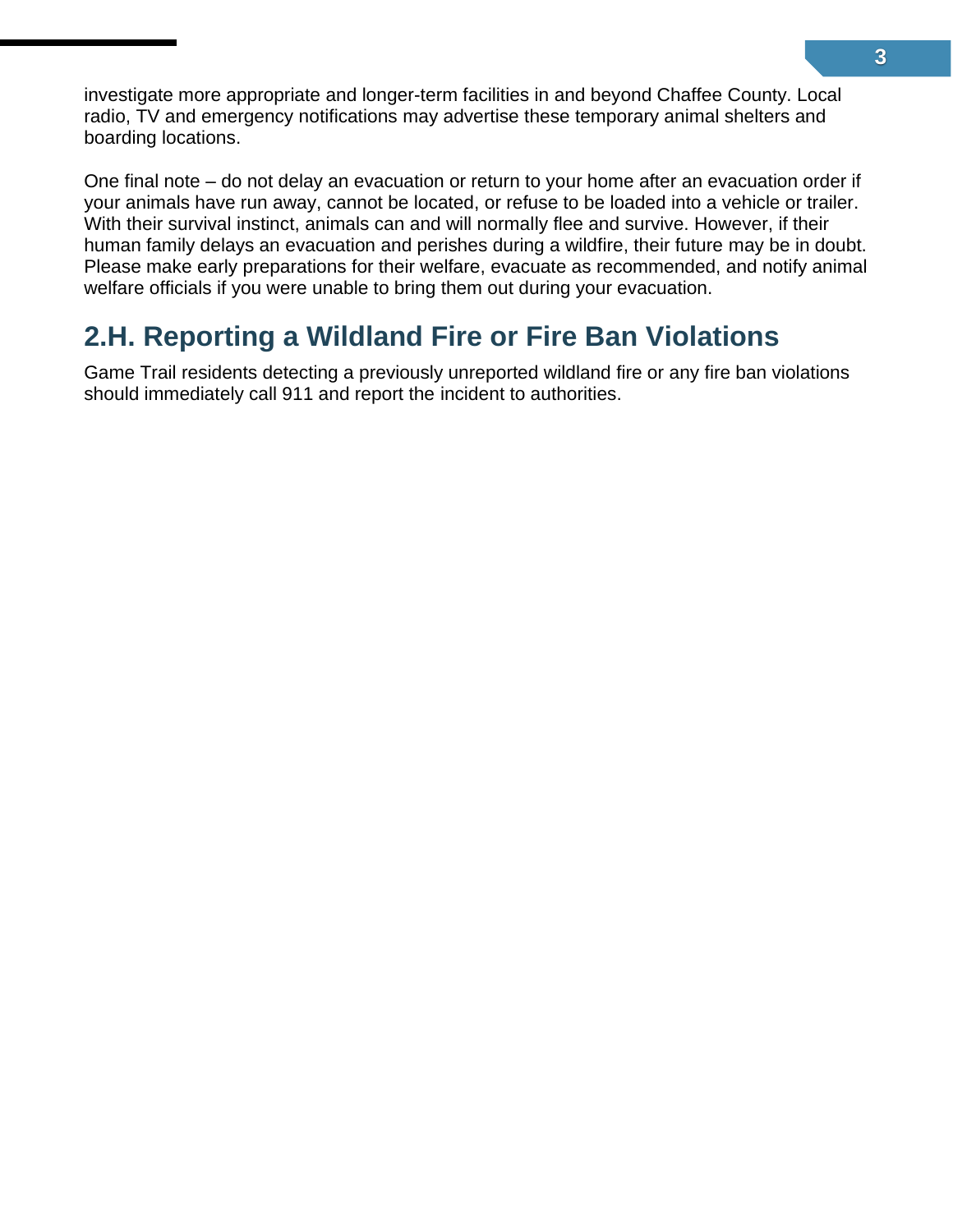investigate more appropriate and longer-term facilities in and beyond Chaffee County. Local radio, TV and emergency notifications may advertise these temporary animal shelters and boarding locations.

One final note – do not delay an evacuation or return to your home after an evacuation order if your animals have run away, cannot be located, or refuse to be loaded into a vehicle or trailer. With their survival instinct, animals can and will normally flee and survive. However, if their human family delays an evacuation and perishes during a wildfire, their future may be in doubt. Please make early preparations for their welfare, evacuate as recommended, and notify animal welfare officials if you were unable to bring them out during your evacuation.

### <span id="page-14-0"></span>**2.H. Reporting a Wildland Fire or Fire Ban Violations**

Game Trail residents detecting a previously unreported wildland fire or any fire ban violations should immediately call 911 and report the incident to authorities.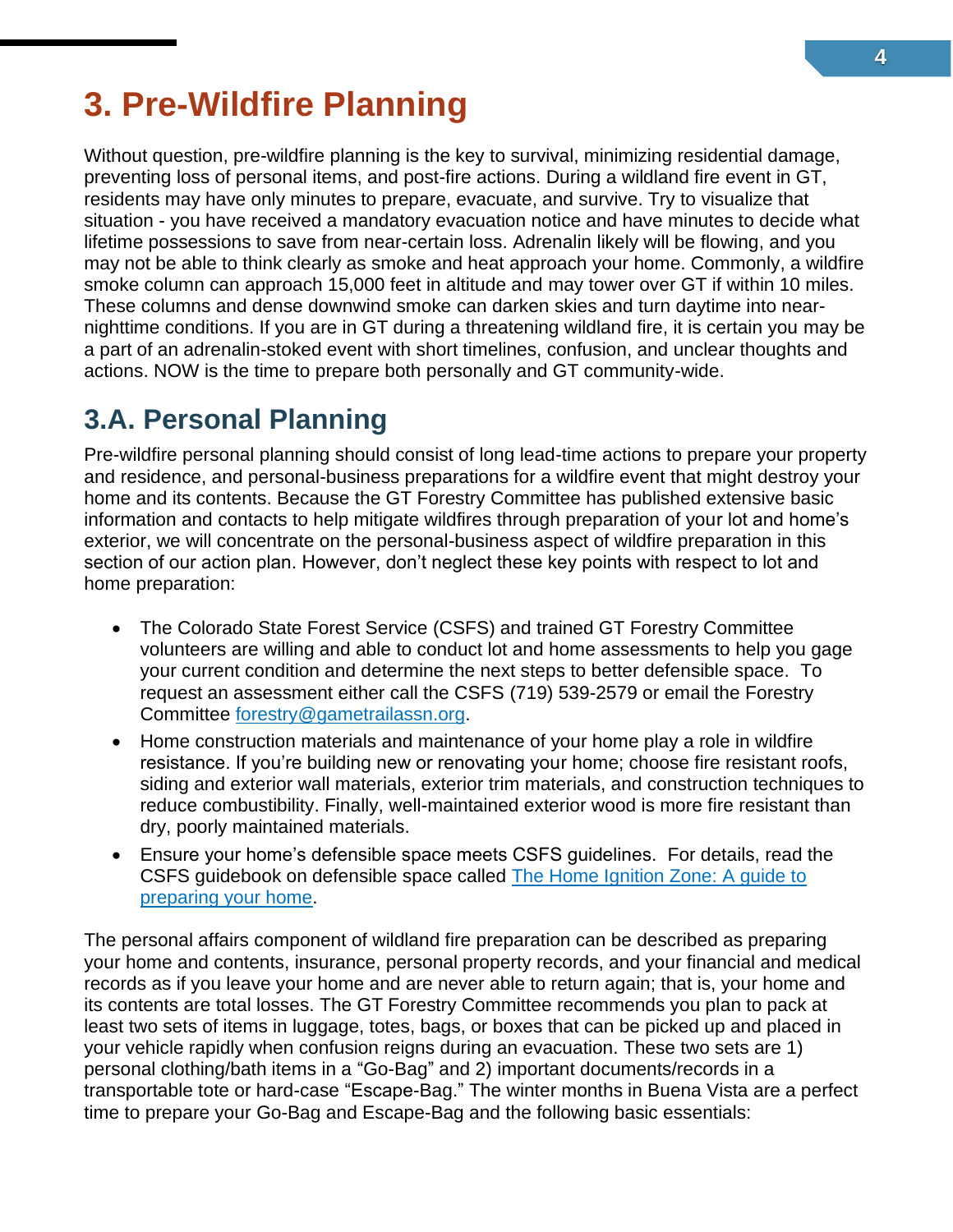# <span id="page-15-0"></span>**3. Pre-Wildfire Planning**

Without question, pre-wildfire planning is the key to survival, minimizing residential damage, preventing loss of personal items, and post-fire actions. During a wildland fire event in GT, residents may have only minutes to prepare, evacuate, and survive. Try to visualize that situation - you have received a mandatory evacuation notice and have minutes to decide what lifetime possessions to save from near-certain loss. Adrenalin likely will be flowing, and you may not be able to think clearly as smoke and heat approach your home. Commonly, a wildfire smoke column can approach 15,000 feet in altitude and may tower over GT if within 10 miles. These columns and dense downwind smoke can darken skies and turn daytime into nearnighttime conditions. If you are in GT during a threatening wildland fire, it is certain you may be a part of an adrenalin-stoked event with short timelines, confusion, and unclear thoughts and actions. NOW is the time to prepare both personally and GT community-wide.

### <span id="page-15-1"></span>**3.A. Personal Planning**

Pre-wildfire personal planning should consist of long lead-time actions to prepare your property and residence, and personal-business preparations for a wildfire event that might destroy your home and its contents. Because the GT Forestry Committee has published extensive basic information and contacts to help mitigate wildfires through preparation of your lot and home's exterior, we will concentrate on the personal-business aspect of wildfire preparation in this section of our action plan. However, don't neglect these key points with respect to lot and home preparation:

- The Colorado State Forest Service (CSFS) and trained GT Forestry Committee volunteers are willing and able to conduct lot and home assessments to help you gage your current condition and determine the next steps to better defensible space. To request an assessment either call the CSFS (719) 539-2579 or email the Forestry Committee [forestry@gametrailassn.org.](mailto:forestry@gametrailassn.org)
- Home construction materials and maintenance of your home play a role in wildfire resistance. If you're building new or renovating your home; choose fire resistant roofs, siding and exterior wall materials, exterior trim materials, and construction techniques to reduce combustibility. Finally, well-maintained exterior wood is more fire resistant than dry, poorly maintained materials.
- Ensure your home's defensible space meets CSFS guidelines. For details, read the CSFS guidebook on defensible space called [The Home Ignition Zone: A guide to](https://csfs.colostate.edu/wp-content/uploads/2021/04/2021_CSFS_HIZGuide_Web.pdf)  [preparing your home.](https://csfs.colostate.edu/wp-content/uploads/2021/04/2021_CSFS_HIZGuide_Web.pdf)

The personal affairs component of wildland fire preparation can be described as preparing your home and contents, insurance, personal property records, and your financial and medical records as if you leave your home and are never able to return again; that is, your home and its contents are total losses. The GT Forestry Committee recommends you plan to pack at least two sets of items in luggage, totes, bags, or boxes that can be picked up and placed in your vehicle rapidly when confusion reigns during an evacuation. These two sets are 1) personal clothing/bath items in a "Go-Bag" and 2) important documents/records in a transportable tote or hard-case "Escape-Bag." The winter months in Buena Vista are a perfect time to prepare your Go-Bag and Escape-Bag and the following basic essentials: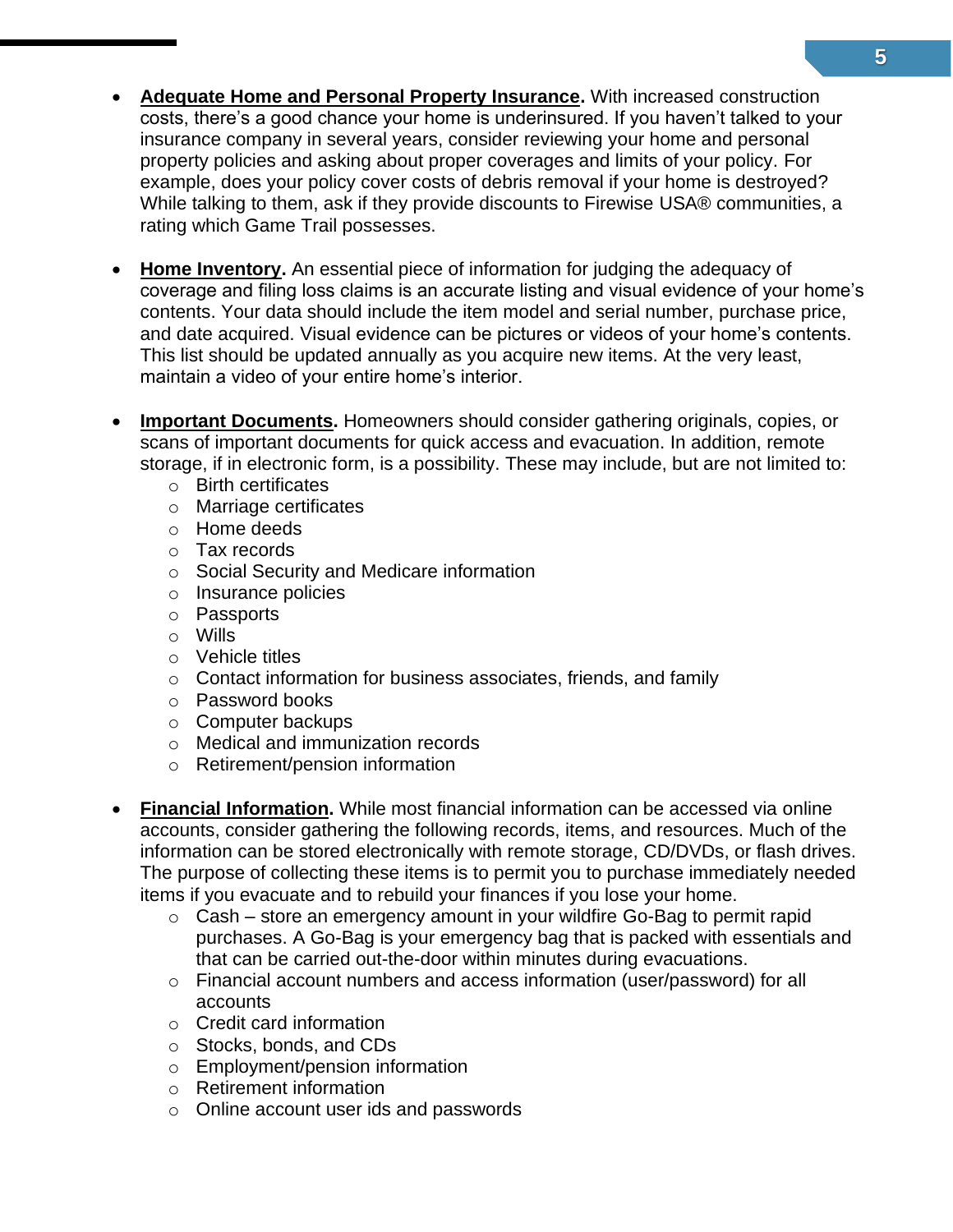- **Adequate Home and Personal Property Insurance.** With increased construction costs, there's a good chance your home is underinsured. If you haven't talked to your insurance company in several years, consider reviewing your home and personal property policies and asking about proper coverages and limits of your policy. For example, does your policy cover costs of debris removal if your home is destroyed? While talking to them, ask if they provide discounts to Firewise USA® communities, a rating which Game Trail possesses.
- **Home Inventory.** An essential piece of information for judging the adequacy of coverage and filing loss claims is an accurate listing and visual evidence of your home's contents. Your data should include the item model and serial number, purchase price, and date acquired. Visual evidence can be pictures or videos of your home's contents. This list should be updated annually as you acquire new items. At the very least, maintain a video of your entire home's interior.
- **Important Documents.** Homeowners should consider gathering originals, copies, or scans of important documents for quick access and evacuation. In addition, remote storage, if in electronic form, is a possibility. These may include, but are not limited to:
	- o Birth certificates
	- o Marriage certificates
	- o Home deeds
	- o Tax records
	- o Social Security and Medicare information
	- o Insurance policies
	- o Passports
	- o Wills
	- o Vehicle titles
	- o Contact information for business associates, friends, and family
	- o Password books
	- o Computer backups
	- o Medical and immunization records
	- o Retirement/pension information
- **Financial Information.** While most financial information can be accessed via online accounts, consider gathering the following records, items, and resources. Much of the information can be stored electronically with remote storage, CD/DVDs, or flash drives. The purpose of collecting these items is to permit you to purchase immediately needed items if you evacuate and to rebuild your finances if you lose your home.
	- $\circ$  Cash store an emergency amount in your wildfire Go-Bag to permit rapid purchases. A Go-Bag is your emergency bag that is packed with essentials and that can be carried out-the-door within minutes during evacuations.
	- o Financial account numbers and access information (user/password) for all accounts
	- o Credit card information
	- o Stocks, bonds, and CDs
	- o Employment/pension information
	- o Retirement information
	- o Online account user ids and passwords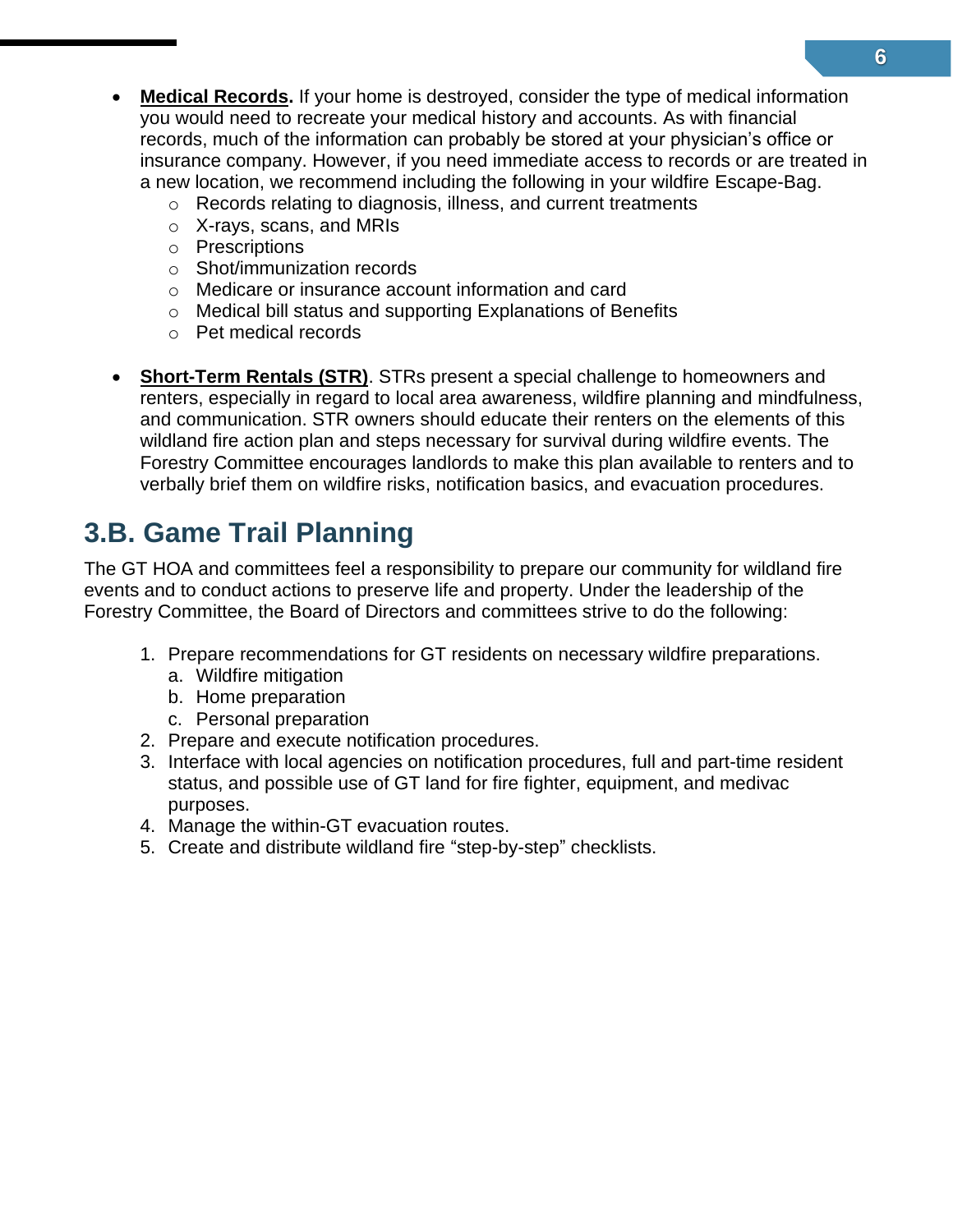- **Medical Records.** If your home is destroyed, consider the type of medical information you would need to recreate your medical history and accounts. As with financial records, much of the information can probably be stored at your physician's office or insurance company. However, if you need immediate access to records or are treated in a new location, we recommend including the following in your wildfire Escape-Bag.
	- o Records relating to diagnosis, illness, and current treatments
	- o X-rays, scans, and MRIs
	- o Prescriptions
	- o Shot/immunization records
	- o Medicare or insurance account information and card
	- o Medical bill status and supporting Explanations of Benefits
	- o Pet medical records
- **Short-Term Rentals (STR)**. STRs present a special challenge to homeowners and renters, especially in regard to local area awareness, wildfire planning and mindfulness, and communication. STR owners should educate their renters on the elements of this wildland fire action plan and steps necessary for survival during wildfire events. The Forestry Committee encourages landlords to make this plan available to renters and to verbally brief them on wildfire risks, notification basics, and evacuation procedures.

### <span id="page-17-0"></span>**3.B. Game Trail Planning**

The GT HOA and committees feel a responsibility to prepare our community for wildland fire events and to conduct actions to preserve life and property. Under the leadership of the Forestry Committee, the Board of Directors and committees strive to do the following:

- 1. Prepare recommendations for GT residents on necessary wildfire preparations.
	- a. Wildfire mitigation
	- b. Home preparation
	- c. Personal preparation
- 2. Prepare and execute notification procedures.
- 3. Interface with local agencies on notification procedures, full and part-time resident status, and possible use of GT land for fire fighter, equipment, and medivac purposes.
- 4. Manage the within-GT evacuation routes.
- 5. Create and distribute wildland fire "step-by-step" checklists.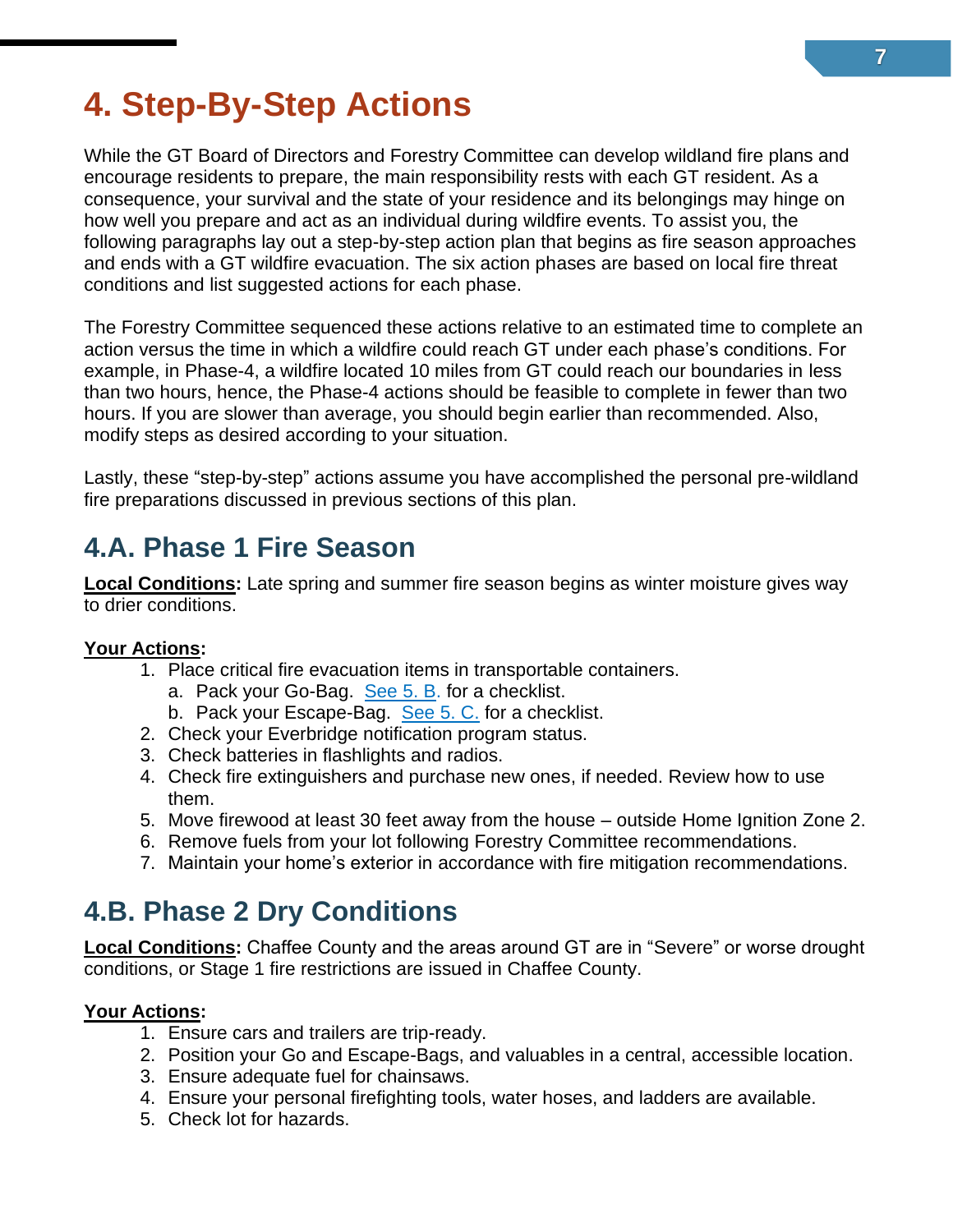# <span id="page-18-0"></span>**4. Step-By-Step Actions**

While the GT Board of Directors and Forestry Committee can develop wildland fire plans and encourage residents to prepare, the main responsibility rests with each GT resident. As a consequence, your survival and the state of your residence and its belongings may hinge on how well you prepare and act as an individual during wildfire events. To assist you, the following paragraphs lay out a step-by-step action plan that begins as fire season approaches and ends with a GT wildfire evacuation. The six action phases are based on local fire threat conditions and list suggested actions for each phase.

The Forestry Committee sequenced these actions relative to an estimated time to complete an action versus the time in which a wildfire could reach GT under each phase's conditions. For example, in Phase-4, a wildfire located 10 miles from GT could reach our boundaries in less than two hours, hence, the Phase-4 actions should be feasible to complete in fewer than two hours. If you are slower than average, you should begin earlier than recommended. Also, modify steps as desired according to your situation.

Lastly, these "step-by-step" actions assume you have accomplished the personal pre-wildland fire preparations discussed in previous sections of this plan.

### <span id="page-18-1"></span>**4.A. Phase 1 Fire Season**

**Local Conditions:** Late spring and summer fire season begins as winter moisture gives way to drier conditions.

#### **Your Actions:**

- 1. Place critical fire evacuation items in transportable containers.
	- a. Pack your [Go-Bag.](#page-21-1) [See 5. B.](#page-23-0) for a checklist.
	- b. Pack your Escape-Bag. [See 5. C.](#page-25-0) for a checklist.
- 2. Check your Everbridge notification program status.
- 3. Check batteries in flashlights and radios.
- 4. Check fire extinguishers and purchase new ones, if needed. Review how to use them.
- 5. Move firewood at least 30 feet away from the house outside Home Ignition Zone 2.
- 6. Remove fuels from your lot following Forestry Committee recommendations.
- 7. Maintain your home's exterior in accordance with fire mitigation recommendations.

### <span id="page-18-2"></span>**4.B. Phase 2 Dry Conditions**

**Local Conditions:** Chaffee County and the areas around GT are in "Severe" or worse drought conditions, or Stage 1 fire restrictions are issued in Chaffee County.

#### **Your Actions:**

- 1. Ensure cars and trailers are trip-ready.
- 2. Position your Go and Escape-Bags, and valuables in a central, accessible location.
- 3. Ensure adequate fuel for chainsaws.
- 4. Ensure your personal firefighting tools, water hoses, and ladders are available.
- 5. Check lot for hazards.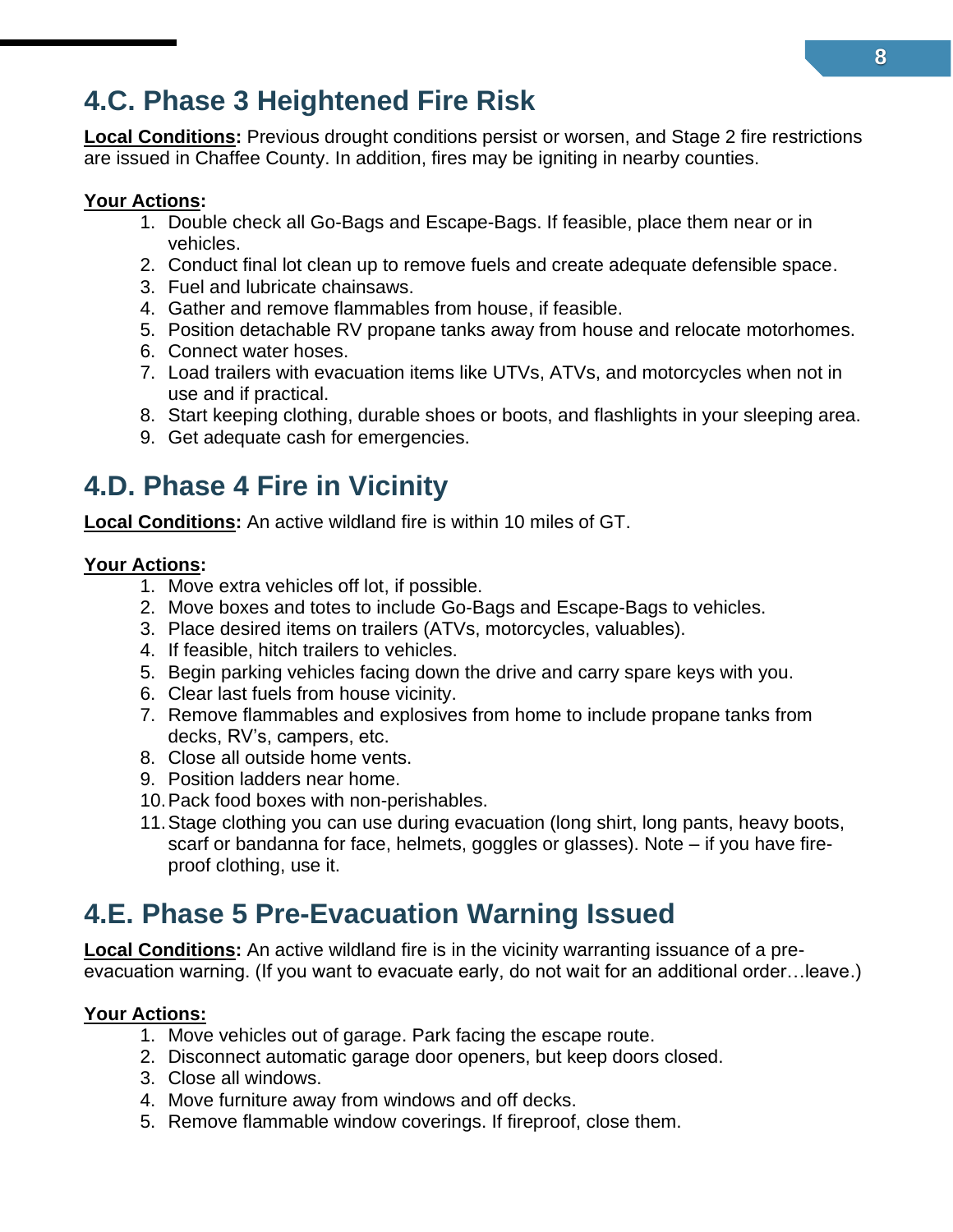### <span id="page-19-0"></span>**4.C. Phase 3 Heightened Fire Risk**

**Local Conditions:** Previous drought conditions persist or worsen, and Stage 2 fire restrictions are issued in Chaffee County. In addition, fires may be igniting in nearby counties.

#### **Your Actions:**

- 1. Double check all Go-Bags and Escape-Bags. If feasible, place them near or in vehicles.
- 2. Conduct final lot clean up to remove fuels and create adequate defensible space.
- 3. Fuel and lubricate chainsaws.
- 4. Gather and remove flammables from house, if feasible.
- 5. Position detachable RV propane tanks away from house and relocate motorhomes.
- 6. Connect water hoses.
- 7. Load trailers with evacuation items like UTVs, ATVs, and motorcycles when not in use and if practical.
- 8. Start keeping clothing, durable shoes or boots, and flashlights in your sleeping area.
- 9. Get adequate cash for emergencies.

### <span id="page-19-1"></span>**4.D. Phase 4 Fire in Vicinity**

**Local Conditions:** An active wildland fire is within 10 miles of GT.

#### **Your Actions:**

- 1. Move extra vehicles off lot, if possible.
- 2. Move boxes and totes to include Go-Bags and Escape-Bags to vehicles.
- 3. Place desired items on trailers (ATVs, motorcycles, valuables).
- 4. If feasible, hitch trailers to vehicles.
- 5. Begin parking vehicles facing down the drive and carry spare keys with you.
- 6. Clear last fuels from house vicinity.
- 7. Remove flammables and explosives from home to include propane tanks from decks, RV's, campers, etc.
- 8. Close all outside home vents.
- 9. Position ladders near home.
- 10.Pack food boxes with non-perishables.
- 11.Stage clothing you can use during evacuation (long shirt, long pants, heavy boots, scarf or bandanna for face, helmets, goggles or glasses). Note – if you have fireproof clothing, use it.

### <span id="page-19-2"></span>**4.E. Phase 5 Pre-Evacuation Warning Issued**

**Local Conditions:** An active wildland fire is in the vicinity warranting issuance of a preevacuation warning. (If you want to evacuate early, do not wait for an additional order…leave.)

#### **Your Actions:**

- 1. Move vehicles out of garage. Park facing the escape route.
- 2. Disconnect automatic garage door openers, but keep doors closed.
- 3. Close all windows.
- 4. Move furniture away from windows and off decks.
- 5. Remove flammable window coverings. If fireproof, close them.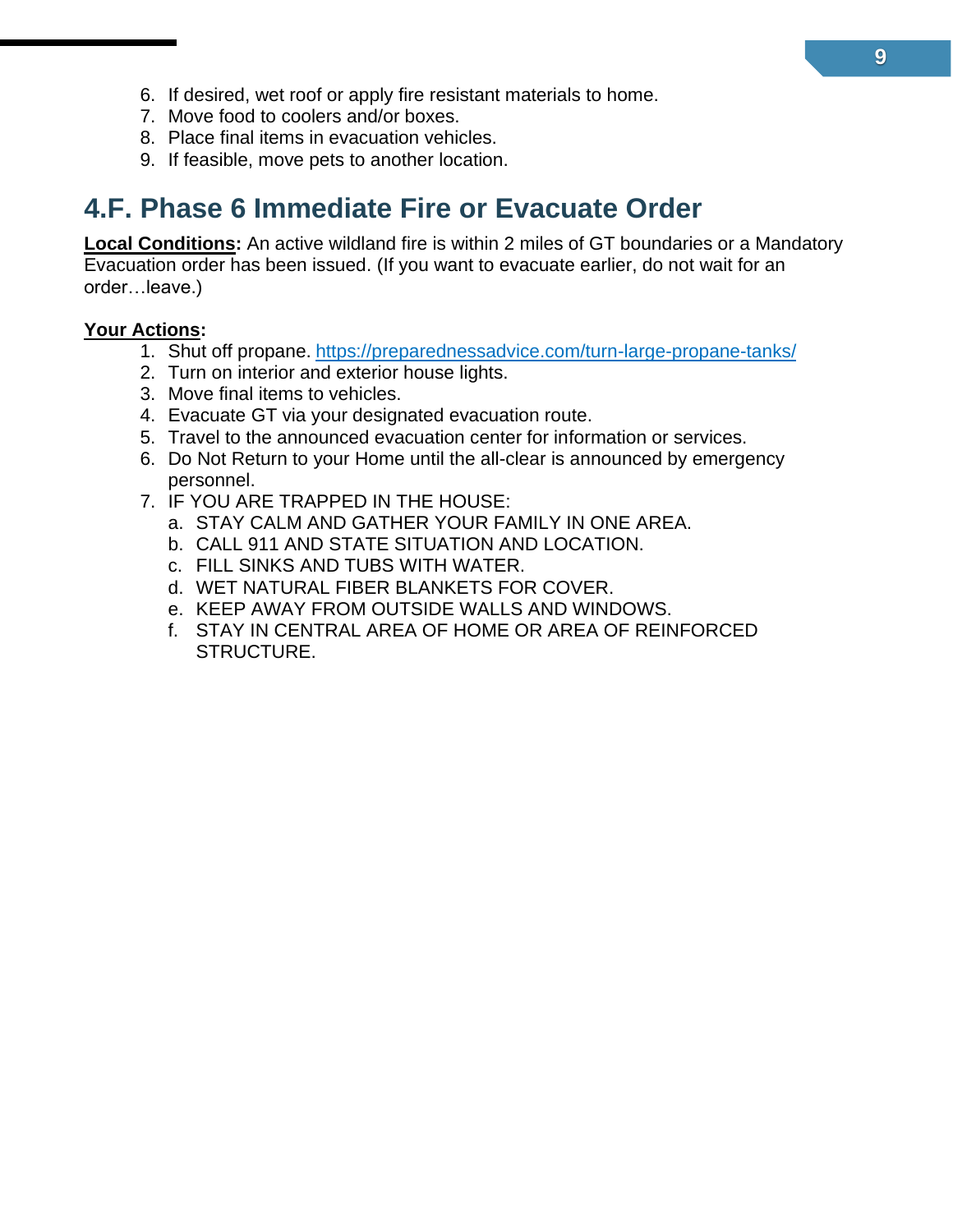- 6. If desired, wet roof or apply fire resistant materials to home.
- 7. Move food to coolers and/or boxes.
- 8. Place final items in evacuation vehicles.
- 9. If feasible, move pets to another location.

### <span id="page-20-0"></span>**4.F. Phase 6 Immediate Fire or Evacuate Order**

**Local Conditions:** An active wildland fire is within 2 miles of GT boundaries or a Mandatory Evacuation order has been issued. (If you want to evacuate earlier, do not wait for an order…leave.)

#### **Your Actions:**

- 1. Shut off propane. <https://preparednessadvice.com/turn-large-propane-tanks/>
- 2. Turn on interior and exterior house lights.
- 3. Move final items to vehicles.
- 4. Evacuate GT via your designated evacuation route.
- 5. Travel to the announced evacuation center for information or services.
- 6. Do Not Return to your Home until the all-clear is announced by emergency personnel.
- 7. IF YOU ARE TRAPPED IN THE HOUSE:
	- a. STAY CALM AND GATHER YOUR FAMILY IN ONE AREA.
	- b. CALL 911 AND STATE SITUATION AND LOCATION.
	- c. FILL SINKS AND TUBS WITH WATER.
	- d. WET NATURAL FIBER BLANKETS FOR COVER.
	- e. KEEP AWAY FROM OUTSIDE WALLS AND WINDOWS.
	- f. STAY IN CENTRAL AREA OF HOME OR AREA OF REINFORCED STRUCTURE.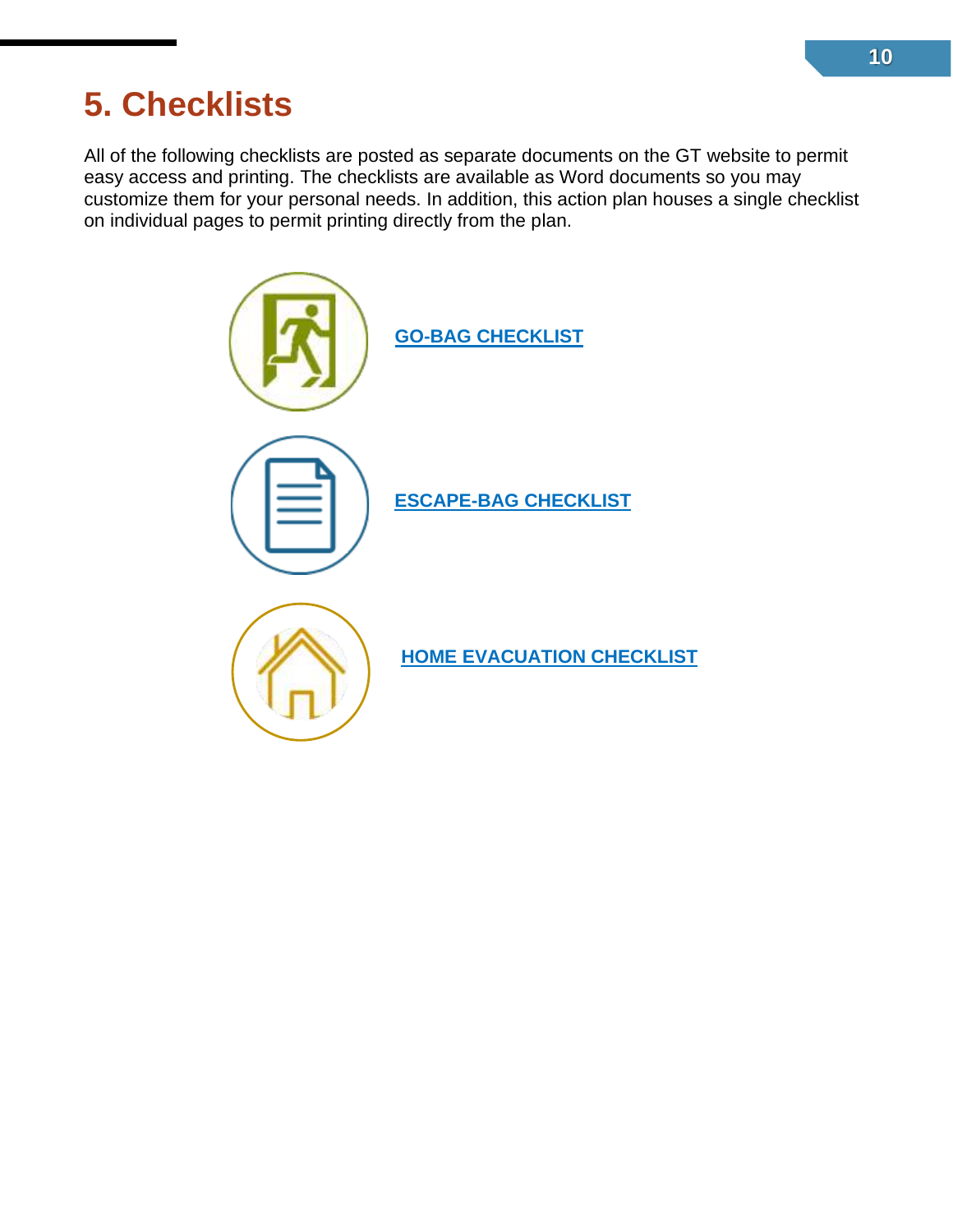# <span id="page-21-0"></span>**5. Checklists**

All of the following checklists are posted as separate documents on the GT website to permit easy access and printing. The checklists are available as Word documents so you may customize them for your personal needs. In addition, this action plan houses a single checklist on individual pages to permit printing directly from the plan.

<span id="page-21-1"></span>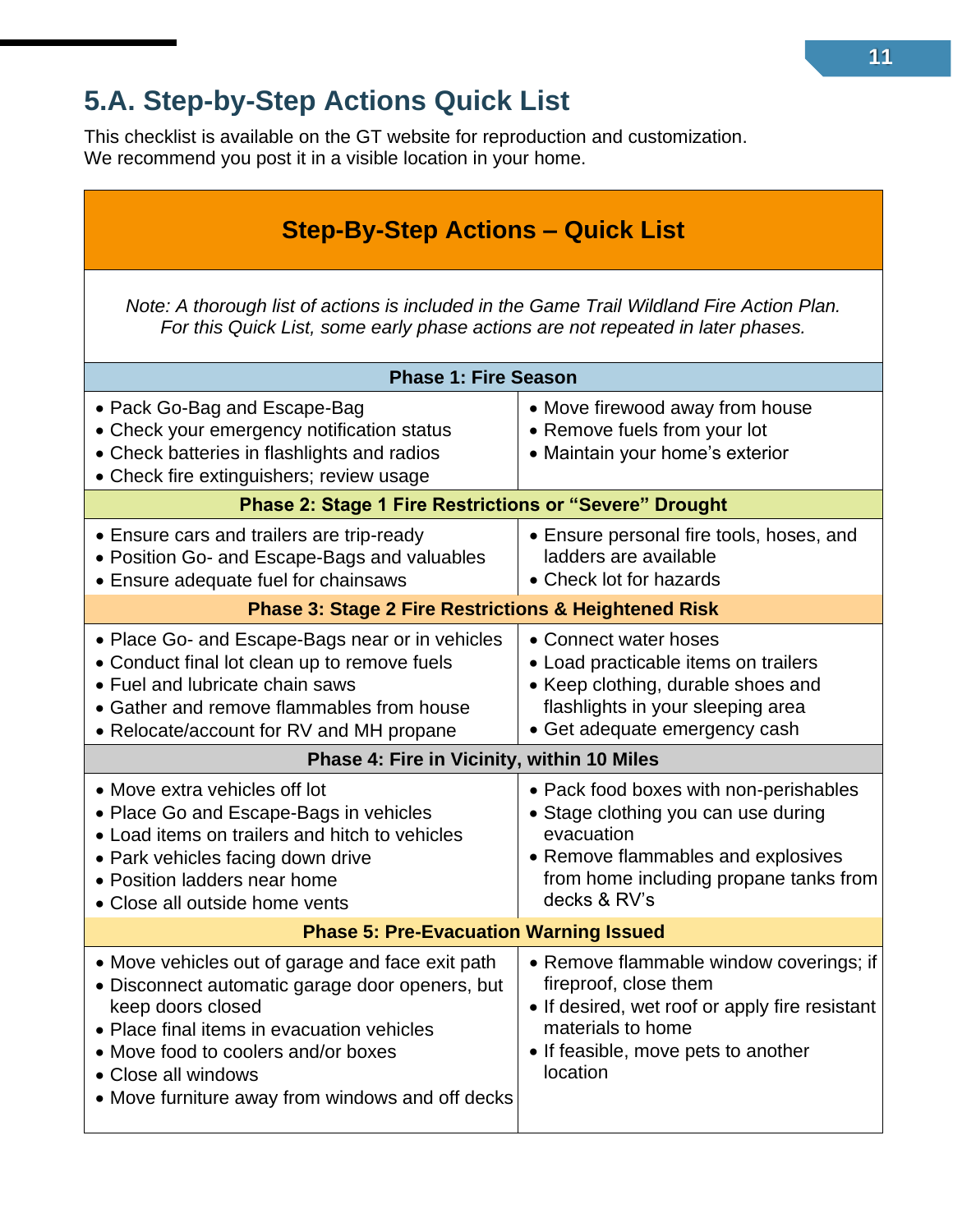### <span id="page-22-0"></span>**5.A. Step-by-Step Actions Quick List**

This checklist is available on the GT website for reproduction and customization. We recommend you post it in a visible location in your home.

| <b>Step-By-Step Actions – Quick List</b>                                                                                                                                                                                                                                                 |                                                                                                                                                                                             |  |  |
|------------------------------------------------------------------------------------------------------------------------------------------------------------------------------------------------------------------------------------------------------------------------------------------|---------------------------------------------------------------------------------------------------------------------------------------------------------------------------------------------|--|--|
| Note: A thorough list of actions is included in the Game Trail Wildland Fire Action Plan.<br>For this Quick List, some early phase actions are not repeated in later phases.                                                                                                             |                                                                                                                                                                                             |  |  |
| <b>Phase 1: Fire Season</b>                                                                                                                                                                                                                                                              |                                                                                                                                                                                             |  |  |
| • Pack Go-Bag and Escape-Bag<br>• Check your emergency notification status<br>• Check batteries in flashlights and radios<br>• Check fire extinguishers; review usage                                                                                                                    | • Move firewood away from house<br>• Remove fuels from your lot<br>• Maintain your home's exterior                                                                                          |  |  |
| <b>Phase 2: Stage 1 Fire Restrictions or "Severe" Drought</b>                                                                                                                                                                                                                            |                                                                                                                                                                                             |  |  |
| • Ensure cars and trailers are trip-ready<br>• Position Go- and Escape-Bags and valuables<br>• Ensure adequate fuel for chainsaws                                                                                                                                                        | • Ensure personal fire tools, hoses, and<br>ladders are available<br>• Check lot for hazards                                                                                                |  |  |
| <b>Phase 3: Stage 2 Fire Restrictions &amp; Heightened Risk</b>                                                                                                                                                                                                                          |                                                                                                                                                                                             |  |  |
| • Place Go- and Escape-Bags near or in vehicles<br>• Conduct final lot clean up to remove fuels<br>• Fuel and lubricate chain saws<br>• Gather and remove flammables from house<br>• Relocate/account for RV and MH propane                                                              | • Connect water hoses<br>• Load practicable items on trailers<br>• Keep clothing, durable shoes and<br>flashlights in your sleeping area<br>• Get adequate emergency cash                   |  |  |
| Phase 4: Fire in Vicinity, within 10 Miles                                                                                                                                                                                                                                               |                                                                                                                                                                                             |  |  |
| • Move extra vehicles off lot<br>• Place Go and Escape-Bags in vehicles<br>• Load items on trailers and hitch to vehicles<br>• Park vehicles facing down drive<br>• Position ladders near home<br>• Close all outside home vents                                                         | • Pack food boxes with non-perishables<br>• Stage clothing you can use during<br>evacuation<br>• Remove flammables and explosives<br>from home including propane tanks from<br>decks & RV's |  |  |
| <b>Phase 5: Pre-Evacuation Warning Issued</b>                                                                                                                                                                                                                                            |                                                                                                                                                                                             |  |  |
| • Move vehicles out of garage and face exit path<br>• Disconnect automatic garage door openers, but<br>keep doors closed<br>• Place final items in evacuation vehicles<br>• Move food to coolers and/or boxes<br>• Close all windows<br>• Move furniture away from windows and off decks | • Remove flammable window coverings; if<br>fireproof, close them<br>• If desired, wet roof or apply fire resistant<br>materials to home<br>• If feasible, move pets to another<br>location  |  |  |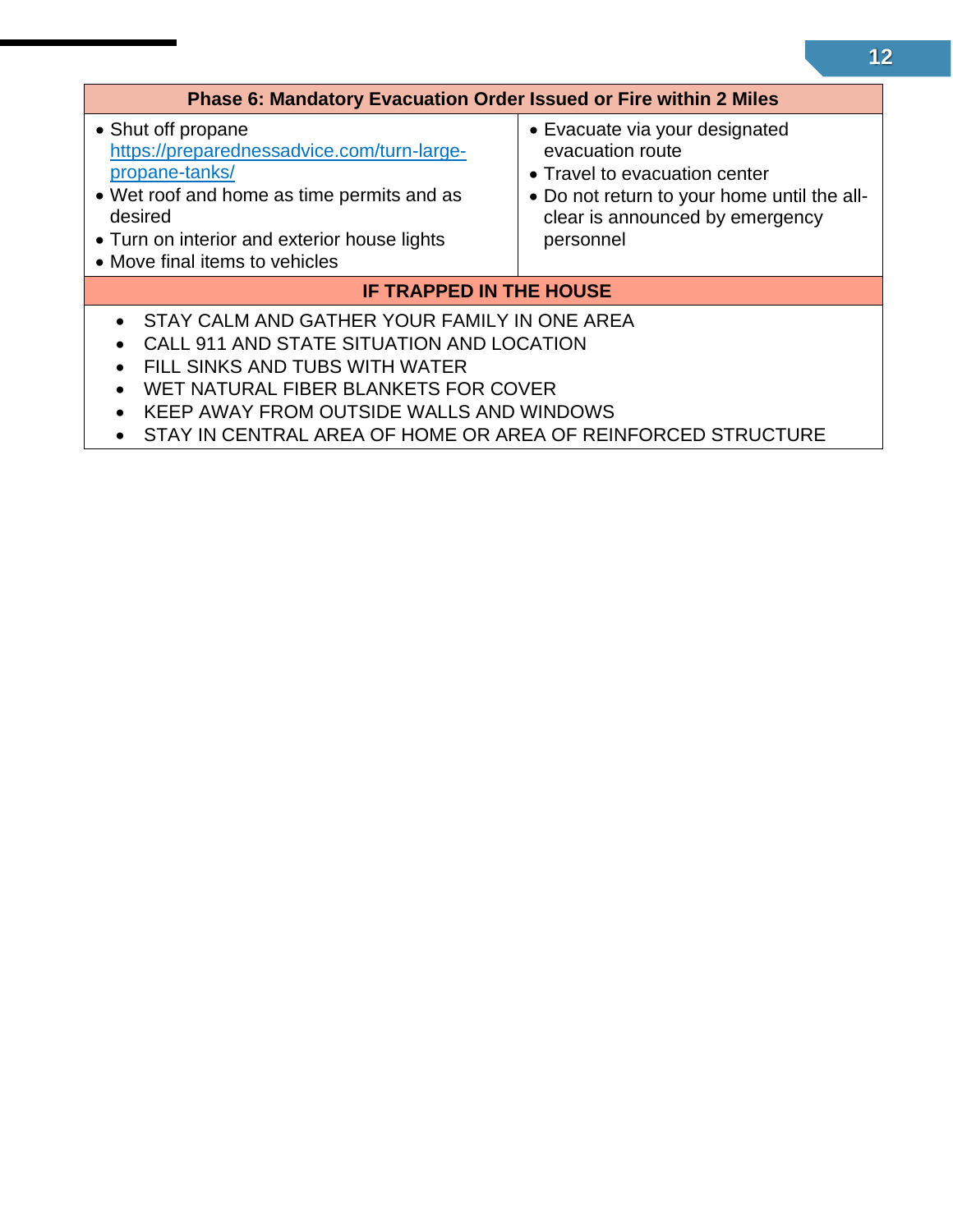<span id="page-23-0"></span>

| <b>Phase 6: Mandatory Evacuation Order Issued or Fire within 2 Miles</b>                                                                                                                                                                                                                                                                           |                                                                                                                                                                                    |  |
|----------------------------------------------------------------------------------------------------------------------------------------------------------------------------------------------------------------------------------------------------------------------------------------------------------------------------------------------------|------------------------------------------------------------------------------------------------------------------------------------------------------------------------------------|--|
| • Shut off propane<br>https://preparednessadvice.com/turn-large-<br>propane-tanks/<br>• Wet roof and home as time permits and as<br>desired<br>• Turn on interior and exterior house lights<br>• Move final items to vehicles                                                                                                                      | • Evacuate via your designated<br>evacuation route<br>• Travel to evacuation center<br>• Do not return to your home until the all-<br>clear is announced by emergency<br>personnel |  |
| <b>IF TRAPPED IN THE HOUSE</b>                                                                                                                                                                                                                                                                                                                     |                                                                                                                                                                                    |  |
| • STAY CALM AND GATHER YOUR FAMILY IN ONE AREA<br>CALL 911 AND STATE SITUATION AND LOCATION<br>$\bullet$<br>FILL SINKS AND TUBS WITH WATER<br>$\bullet$<br>WET NATURAL FIBER BLANKETS FOR COVER<br>$\bullet$<br>KEEP AWAY FROM OUTSIDE WALLS AND WINDOWS<br>$\bullet$<br>STAY IN CENTRAL AREA OF HOME OR AREA OF REINFORCED STRUCTURE<br>$\bullet$ |                                                                                                                                                                                    |  |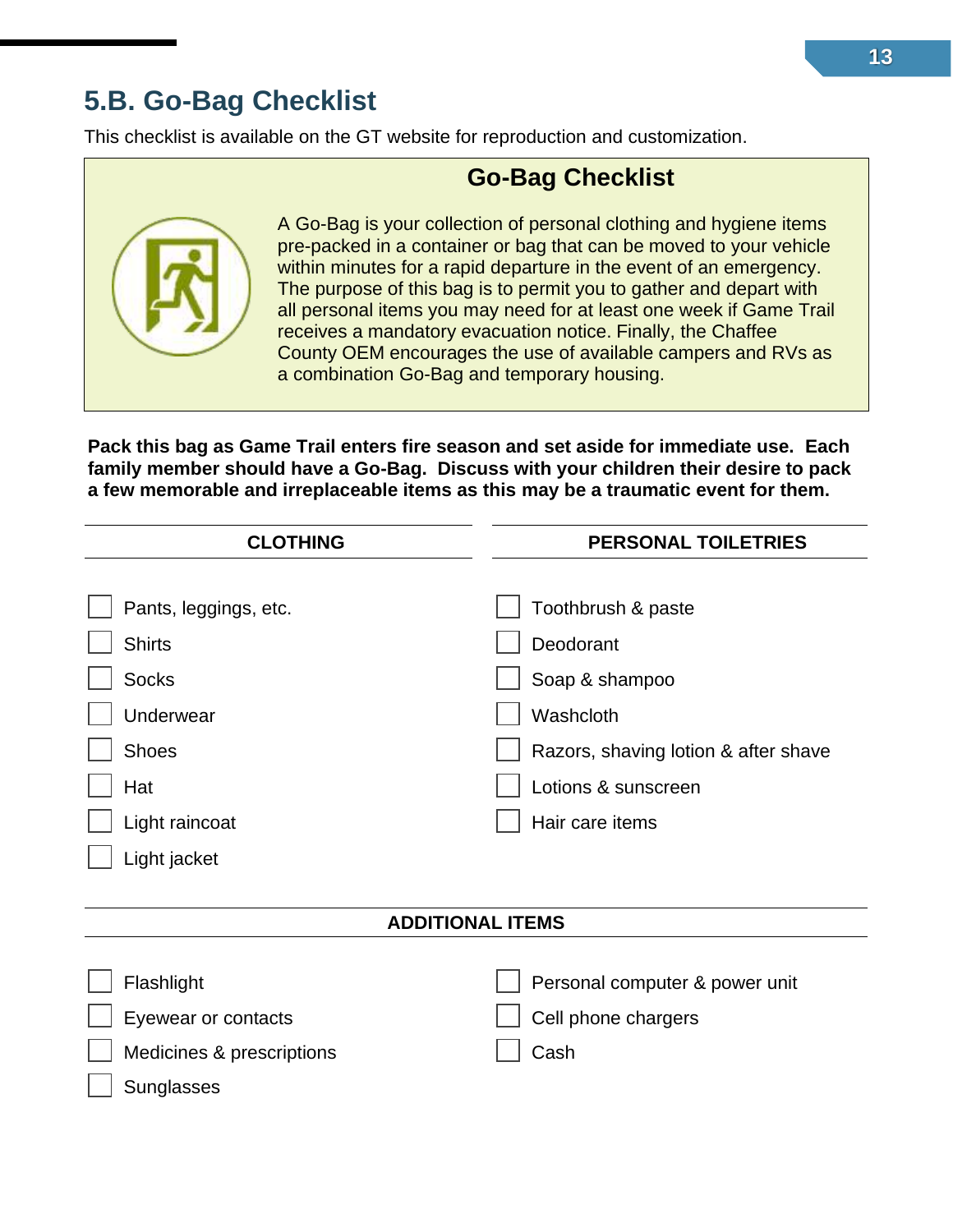### <span id="page-24-0"></span>**5.B. Go-Bag Checklist**

This checklist is available on the GT website for reproduction and customization.

### **Go-Bag Checklist**

A Go-Bag is your collection of personal clothing and hygiene items pre-packed in a container or bag that can be moved to your vehicle within minutes for a rapid departure in the event of an emergency. The purpose of this bag is to permit you to gather and depart with all personal items you may need for at least one week if Game Trail receives a mandatory evacuation notice. Finally, the Chaffee County OEM encourages the use of available campers and RVs as a combination Go-Bag and temporary housing.

**Pack this bag as Game Trail enters fire season and set aside for immediate use. Each family member should have a Go-Bag. Discuss with your children their desire to pack a few memorable and irreplaceable items as this may be a traumatic event for them.**

| <b>CLOTHING</b>           | PERSONAL TOILETRIES                  |
|---------------------------|--------------------------------------|
|                           |                                      |
| Pants, leggings, etc.     | Toothbrush & paste                   |
| <b>Shirts</b>             | Deodorant                            |
| <b>Socks</b>              | Soap & shampoo                       |
| Underwear                 | Washcloth                            |
| <b>Shoes</b>              | Razors, shaving lotion & after shave |
| Hat                       | Lotions & sunscreen                  |
| Light raincoat            | Hair care items                      |
| Light jacket              |                                      |
|                           |                                      |
| <b>ADDITIONAL ITEMS</b>   |                                      |
|                           |                                      |
| Flashlight                | Personal computer & power unit       |
| Eyewear or contacts       | Cell phone chargers                  |
| Medicines & prescriptions | Cash                                 |
| Sunglasses                |                                      |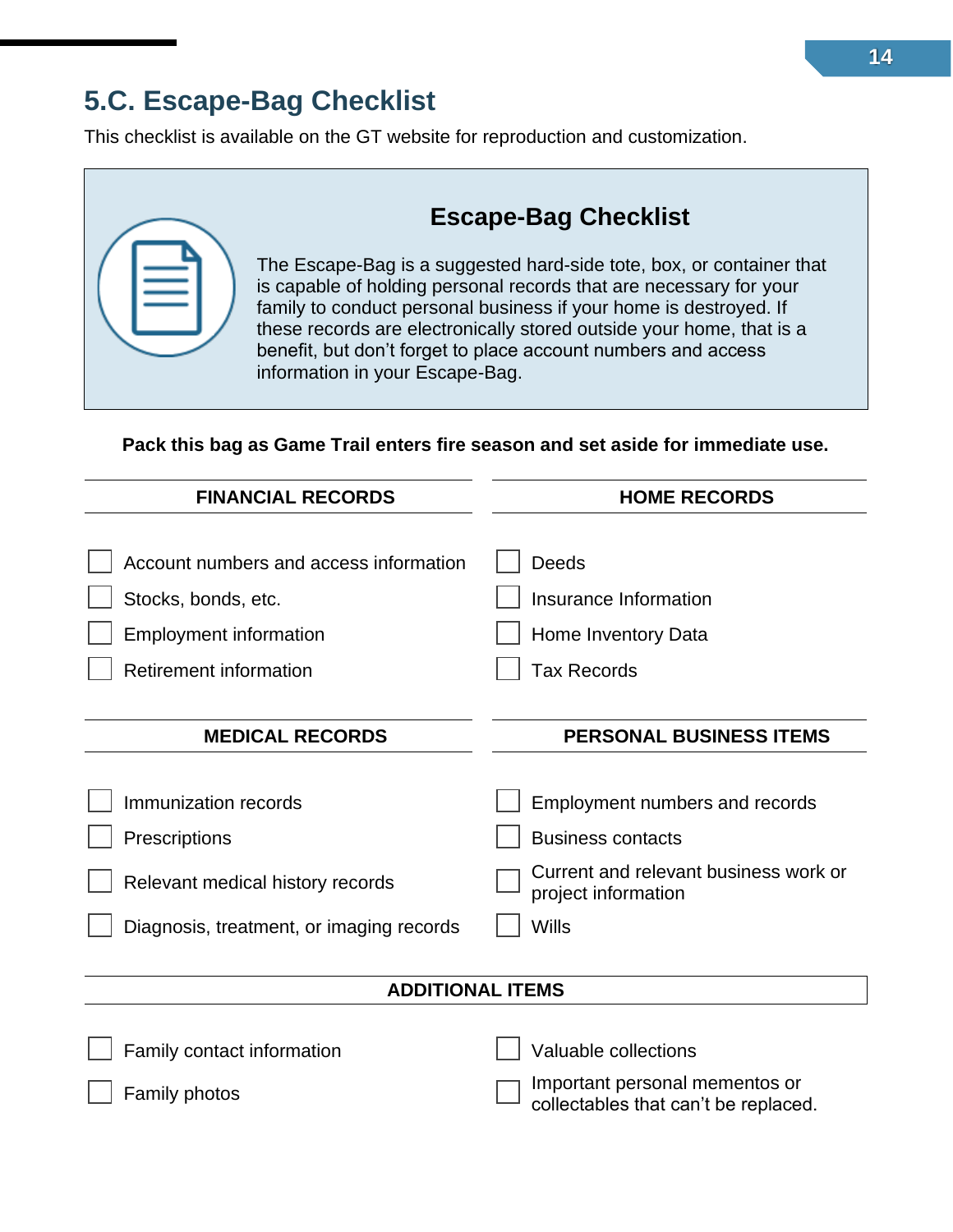### <span id="page-25-0"></span>**5.C. Escape-Bag Checklist**

This checklist is available on the GT website for reproduction and customization.

| <b>Escape-Bag Checklist</b>                                                                                                                                                                                                                                                                                                                                                                 |
|---------------------------------------------------------------------------------------------------------------------------------------------------------------------------------------------------------------------------------------------------------------------------------------------------------------------------------------------------------------------------------------------|
| The Escape-Bag is a suggested hard-side tote, box, or container that<br>is capable of holding personal records that are necessary for your<br>family to conduct personal business if your home is destroyed. If<br>these records are electronically stored outside your home, that is a<br>benefit, but don't forget to place account numbers and access<br>information in your Escape-Bag. |
|                                                                                                                                                                                                                                                                                                                                                                                             |

**Pack this bag as Game Trail enters fire season and set aside for immediate use.**

| <b>FINANCIAL RECORDS</b>                             | <b>HOME RECORDS</b>                                          |
|------------------------------------------------------|--------------------------------------------------------------|
| Account numbers and access information               | <b>Deeds</b>                                                 |
| Stocks, bonds, etc.<br><b>Employment information</b> | Insurance Information<br>Home Inventory Data                 |
| <b>Retirement information</b>                        | <b>Tax Records</b>                                           |
| <b>MEDICAL RECORDS</b>                               | <b>PERSONAL BUSINESS ITEMS</b>                               |
|                                                      |                                                              |
| Immunization records                                 | Employment numbers and records                               |
| Prescriptions                                        | <b>Business contacts</b>                                     |
| Relevant medical history records                     | Current and relevant business work or<br>project information |
| Diagnosis, treatment, or imaging records             | <b>Wills</b>                                                 |
|                                                      |                                                              |
| <b>ADDITIONAL ITEMS</b>                              |                                                              |
| Family contact information                           | Valuable collections                                         |

<span id="page-25-1"></span>Family photos **Important personal mementos or Important personal mementos or Important personal mementos or** collectables that can't be replaced.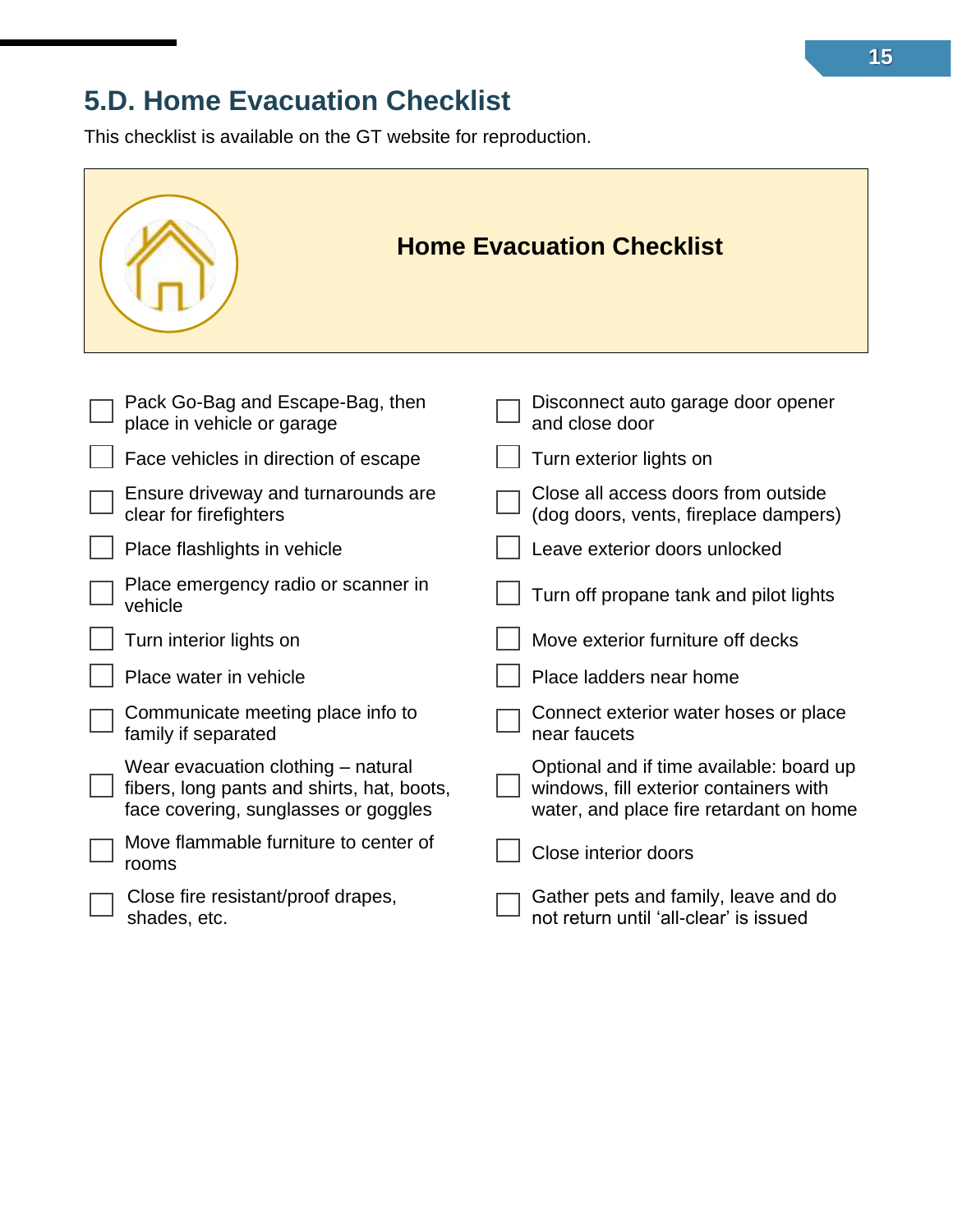### <span id="page-26-0"></span>**5.D. Home Evacuation Checklist**

This checklist is available on the GT website for reproduction.

|                                                                                                                          | <b>Home Evacuation Checklist</b>                                                                                              |
|--------------------------------------------------------------------------------------------------------------------------|-------------------------------------------------------------------------------------------------------------------------------|
|                                                                                                                          |                                                                                                                               |
| Pack Go-Bag and Escape-Bag, then<br>place in vehicle or garage                                                           | Disconnect auto garage door opener<br>and close door                                                                          |
| Face vehicles in direction of escape                                                                                     | Turn exterior lights on                                                                                                       |
| Ensure driveway and turnarounds are<br>clear for firefighters                                                            | Close all access doors from outside<br>(dog doors, vents, fireplace dampers)                                                  |
| Place flashlights in vehicle                                                                                             | Leave exterior doors unlocked                                                                                                 |
| Place emergency radio or scanner in<br>vehicle                                                                           | Turn off propane tank and pilot lights                                                                                        |
| Turn interior lights on                                                                                                  | Move exterior furniture off decks                                                                                             |
| Place water in vehicle                                                                                                   | Place ladders near home                                                                                                       |
| Communicate meeting place info to<br>family if separated                                                                 | Connect exterior water hoses or place<br>near faucets                                                                         |
| Wear evacuation clothing - natural<br>fibers, long pants and shirts, hat, boots,<br>face covering, sunglasses or goggles | Optional and if time available: board up<br>windows, fill exterior containers with<br>water, and place fire retardant on home |
| Move flammable furniture to center of<br>rooms                                                                           | Close interior doors                                                                                                          |
| Close fire resistant/proof drapes,<br>shades, etc.                                                                       | Gather pets and family, leave and do<br>not return until 'all-clear' is issued                                                |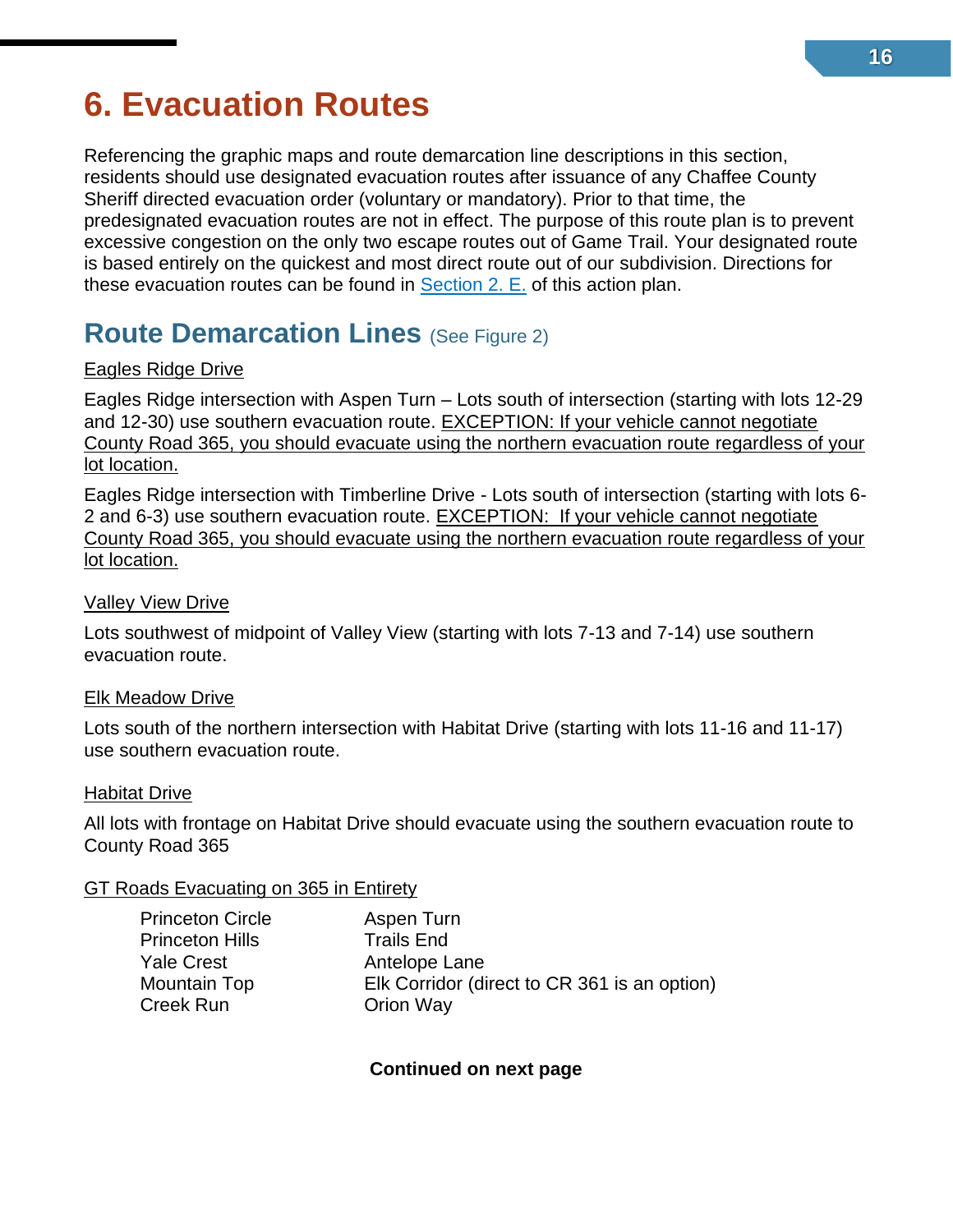# <span id="page-27-0"></span>**6. Evacuation Routes**

<span id="page-27-1"></span>Referencing the graphic maps and route demarcation line descriptions in this section, residents should use designated evacuation routes after issuance of any Chaffee County Sheriff directed evacuation order (voluntary or mandatory). Prior to that time, the predesignated evacuation routes are not in effect. The purpose of this route plan is to prevent excessive congestion on the only two escape routes out of Game Trail. Your designated route is based entirely on the quickest and most direct route out of our subdivision. Directions for these evacuation routes can be found in [Section 2. E.](#page-13-0) of this action plan.

### **Route Demarcation Lines** (See Figure 2)

#### Eagles Ridge Drive

Eagles Ridge intersection with Aspen Turn – Lots south of intersection (starting with lots 12-29 and 12-30) use southern evacuation route. EXCEPTION: If your vehicle cannot negotiate County Road 365, you should evacuate using the northern evacuation route regardless of your lot location.

Eagles Ridge intersection with Timberline Drive - Lots south of intersection (starting with lots 6- 2 and 6-3) use southern evacuation route. EXCEPTION: If your vehicle cannot negotiate County Road 365, you should evacuate using the northern evacuation route regardless of your lot location.

#### Valley View Drive

Lots southwest of midpoint of Valley View (starting with lots 7-13 and 7-14) use southern evacuation route.

#### Elk Meadow Drive

Lots south of the northern intersection with Habitat Drive (starting with lots 11-16 and 11-17) use southern evacuation route.

#### Habitat Drive

All lots with frontage on Habitat Drive should evacuate using the southern evacuation route to County Road 365

#### GT Roads Evacuating on 365 in Entirety

| Princeton Circle |  |
|------------------|--|
| Princeton Hills  |  |
| Yale Crest       |  |
| Mountain Top     |  |
| Creek Run        |  |
|                  |  |

Aspen Turn **Trails End** Antelope Lane Mountain Top Elk Corridor (direct to CR 361 is an option) **Orion Way** 

**Continued on next page**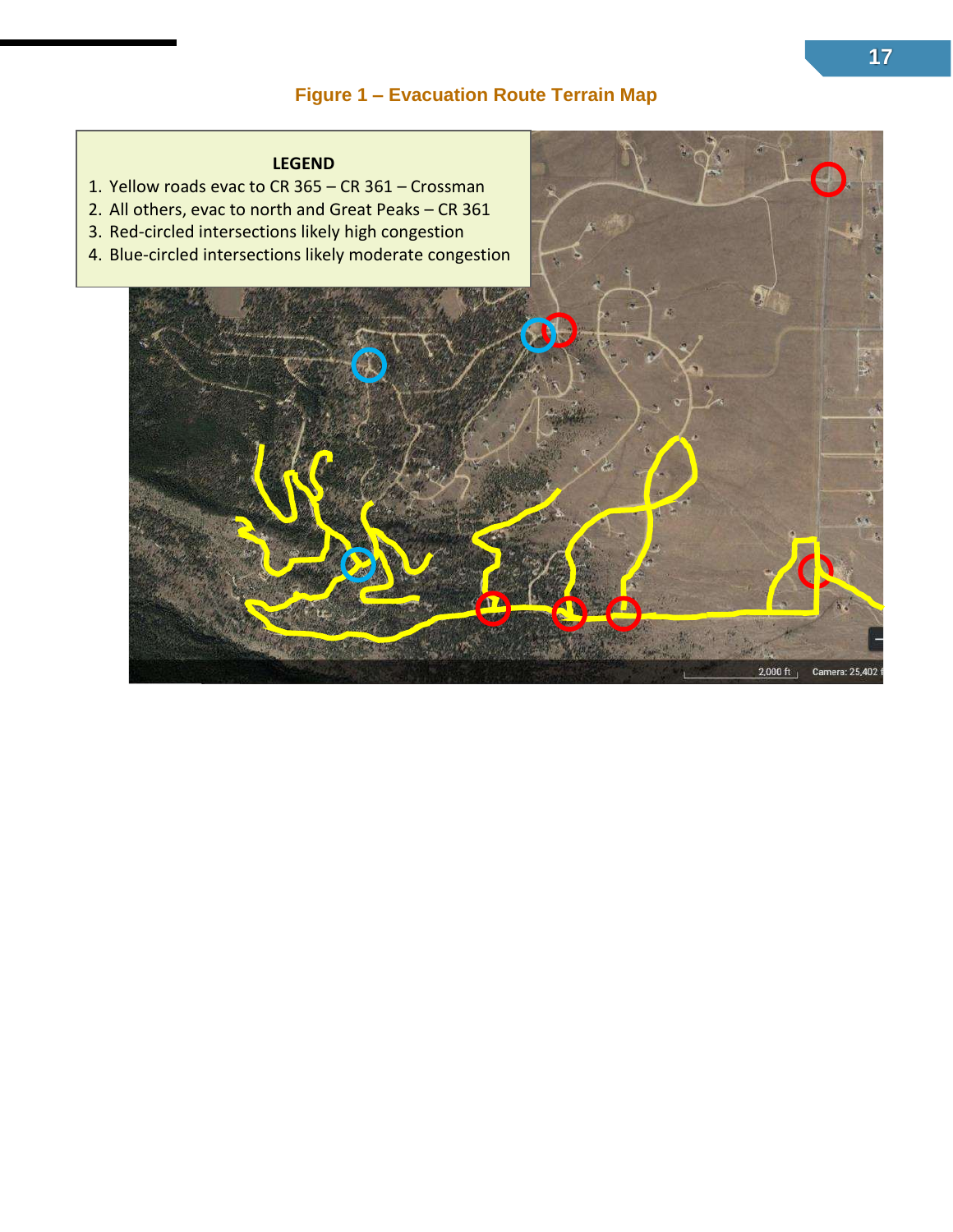#### **Figure 1 – Evacuation Route Terrain Map**

#### **LEGEND**

- 1. Yellow roads evac to CR 365 CR 361 Crossman
- 2. All others, evac to north and Great Peaks CR 361
- 3. Red-circled intersections likely high congestion
- 

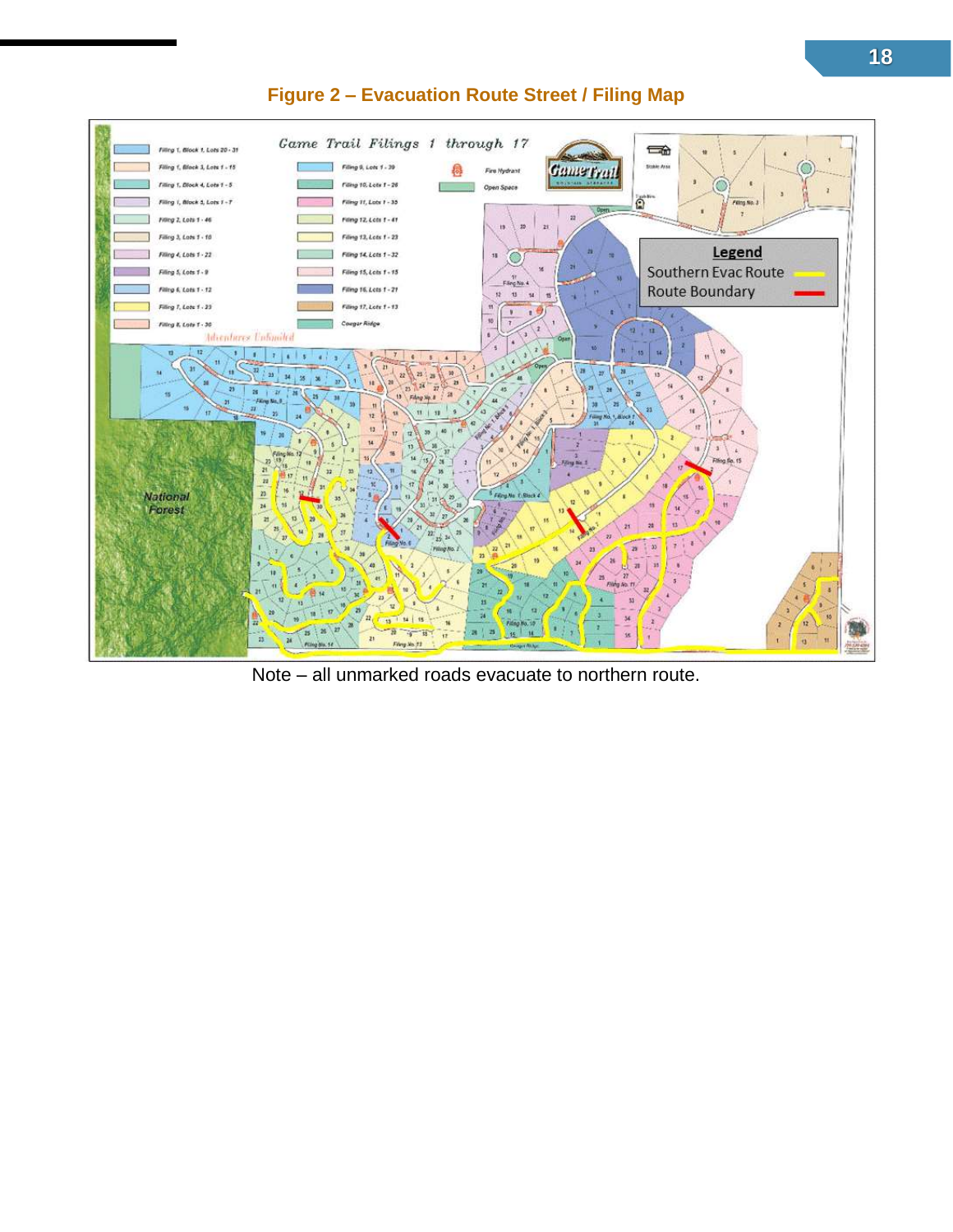

#### **Figure 2 – Evacuation Route Street / Filing Map**

Note – all unmarked roads evacuate to northern route.